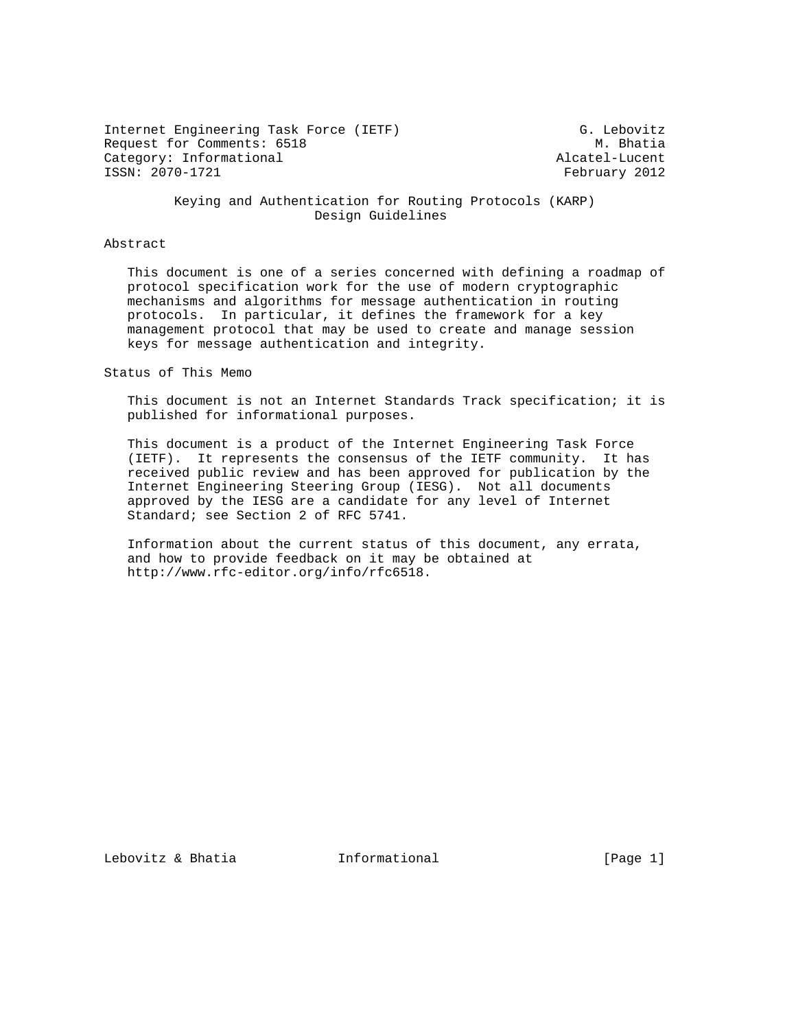Internet Engineering Task Force (IETF) G. Lebovitz Request for Comments: 6518 M. Bhatia Category: Informational and the control of the category: Informational Alcatel-Lucent<br>
Category: 2070-1721 and the control of the control of the control of the control of the control of the control o

February 2012

 Keying and Authentication for Routing Protocols (KARP) Design Guidelines

# Abstract

 This document is one of a series concerned with defining a roadmap of protocol specification work for the use of modern cryptographic mechanisms and algorithms for message authentication in routing protocols. In particular, it defines the framework for a key management protocol that may be used to create and manage session keys for message authentication and integrity.

Status of This Memo

 This document is not an Internet Standards Track specification; it is published for informational purposes.

 This document is a product of the Internet Engineering Task Force (IETF). It represents the consensus of the IETF community. It has received public review and has been approved for publication by the Internet Engineering Steering Group (IESG). Not all documents approved by the IESG are a candidate for any level of Internet Standard; see Section 2 of RFC 5741.

 Information about the current status of this document, any errata, and how to provide feedback on it may be obtained at http://www.rfc-editor.org/info/rfc6518.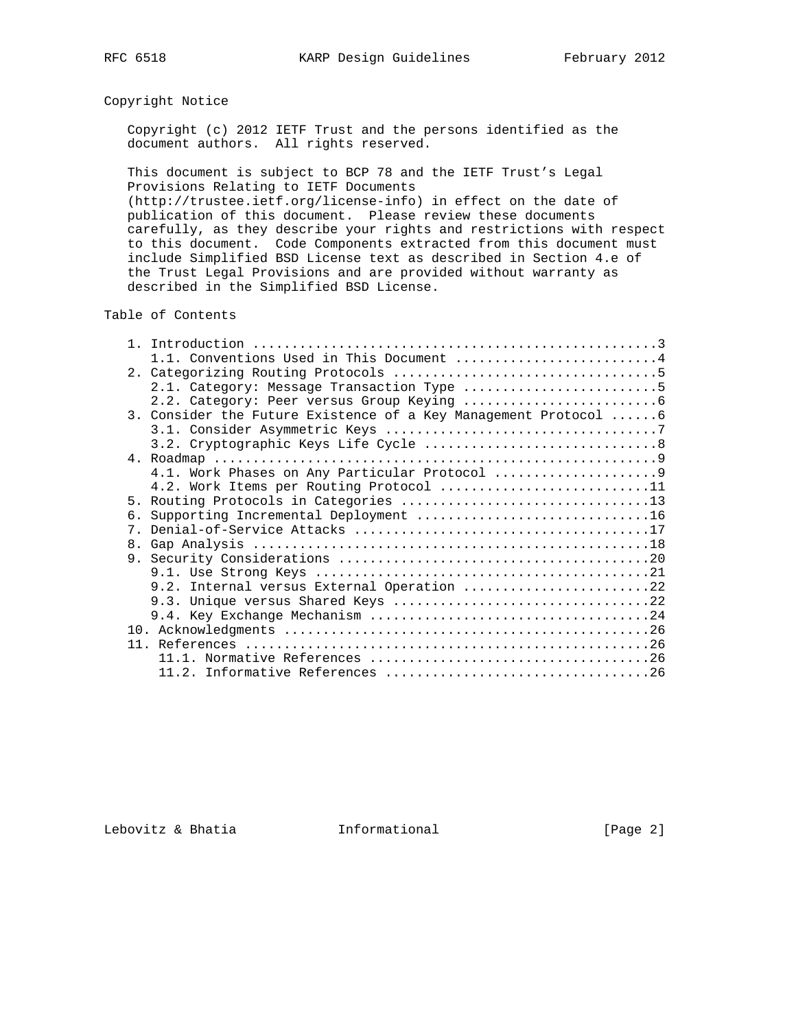# Copyright Notice

 Copyright (c) 2012 IETF Trust and the persons identified as the document authors. All rights reserved.

 This document is subject to BCP 78 and the IETF Trust's Legal Provisions Relating to IETF Documents (http://trustee.ietf.org/license-info) in effect on the date of publication of this document. Please review these documents carefully, as they describe your rights and restrictions with respect to this document. Code Components extracted from this document must include Simplified BSD License text as described in Section 4.e of the Trust Legal Provisions and are provided without warranty as described in the Simplified BSD License.

## Table of Contents

| 1.1. Conventions Used in This Document 4                        |
|-----------------------------------------------------------------|
|                                                                 |
| 2.1. Category: Message Transaction Type 5                       |
|                                                                 |
| 3. Consider the Future Existence of a Key Management Protocol 6 |
|                                                                 |
|                                                                 |
|                                                                 |
|                                                                 |
| 4.2. Work Items per Routing Protocol 11                         |
|                                                                 |
| б.                                                              |
|                                                                 |
|                                                                 |
|                                                                 |
|                                                                 |
| 9.2. Internal versus External Operation 22                      |
|                                                                 |
|                                                                 |
|                                                                 |
|                                                                 |
|                                                                 |
|                                                                 |

Lebovitz & Bhatia  $I_n$  Informational [Page 2]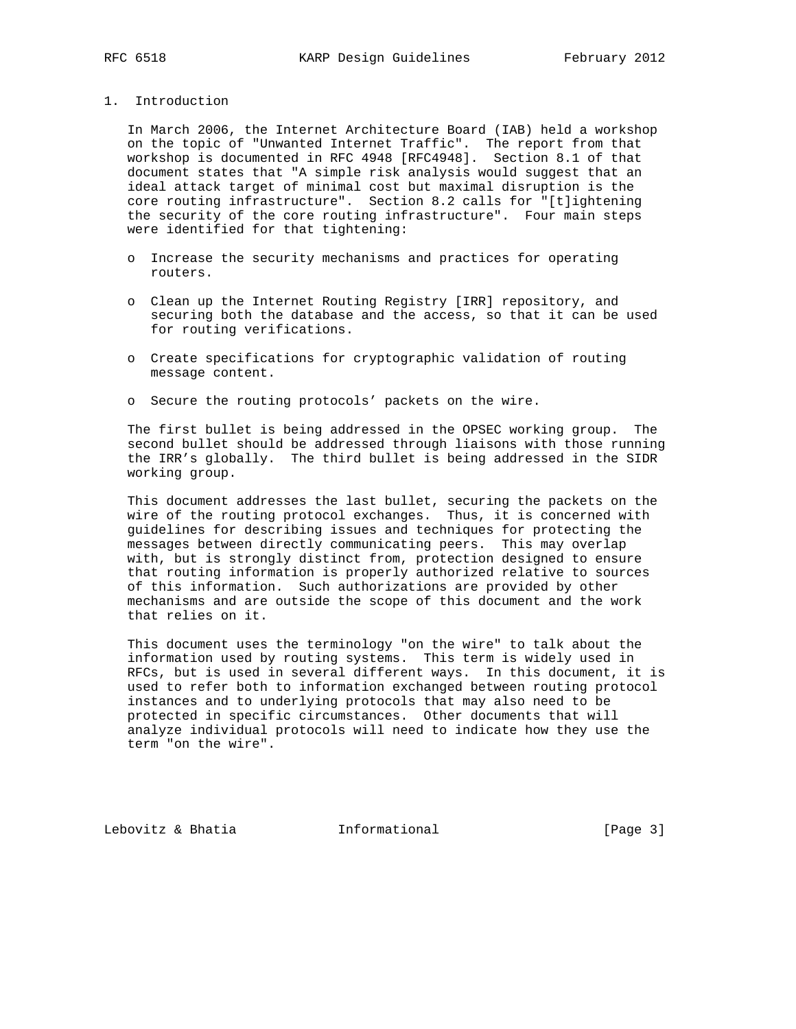## 1. Introduction

 In March 2006, the Internet Architecture Board (IAB) held a workshop on the topic of "Unwanted Internet Traffic". The report from that workshop is documented in RFC 4948 [RFC4948]. Section 8.1 of that document states that "A simple risk analysis would suggest that an ideal attack target of minimal cost but maximal disruption is the core routing infrastructure". Section 8.2 calls for "[t]ightening the security of the core routing infrastructure". Four main steps were identified for that tightening:

- o Increase the security mechanisms and practices for operating routers.
- o Clean up the Internet Routing Registry [IRR] repository, and securing both the database and the access, so that it can be used for routing verifications.
- o Create specifications for cryptographic validation of routing message content.
- o Secure the routing protocols' packets on the wire.

 The first bullet is being addressed in the OPSEC working group. The second bullet should be addressed through liaisons with those running the IRR's globally. The third bullet is being addressed in the SIDR working group.

 This document addresses the last bullet, securing the packets on the wire of the routing protocol exchanges. Thus, it is concerned with guidelines for describing issues and techniques for protecting the messages between directly communicating peers. This may overlap with, but is strongly distinct from, protection designed to ensure that routing information is properly authorized relative to sources of this information. Such authorizations are provided by other mechanisms and are outside the scope of this document and the work that relies on it.

 This document uses the terminology "on the wire" to talk about the information used by routing systems. This term is widely used in RFCs, but is used in several different ways. In this document, it is used to refer both to information exchanged between routing protocol instances and to underlying protocols that may also need to be protected in specific circumstances. Other documents that will analyze individual protocols will need to indicate how they use the term "on the wire".

Lebovitz & Bhatia  $\qquad \qquad$  Informational [Page 3]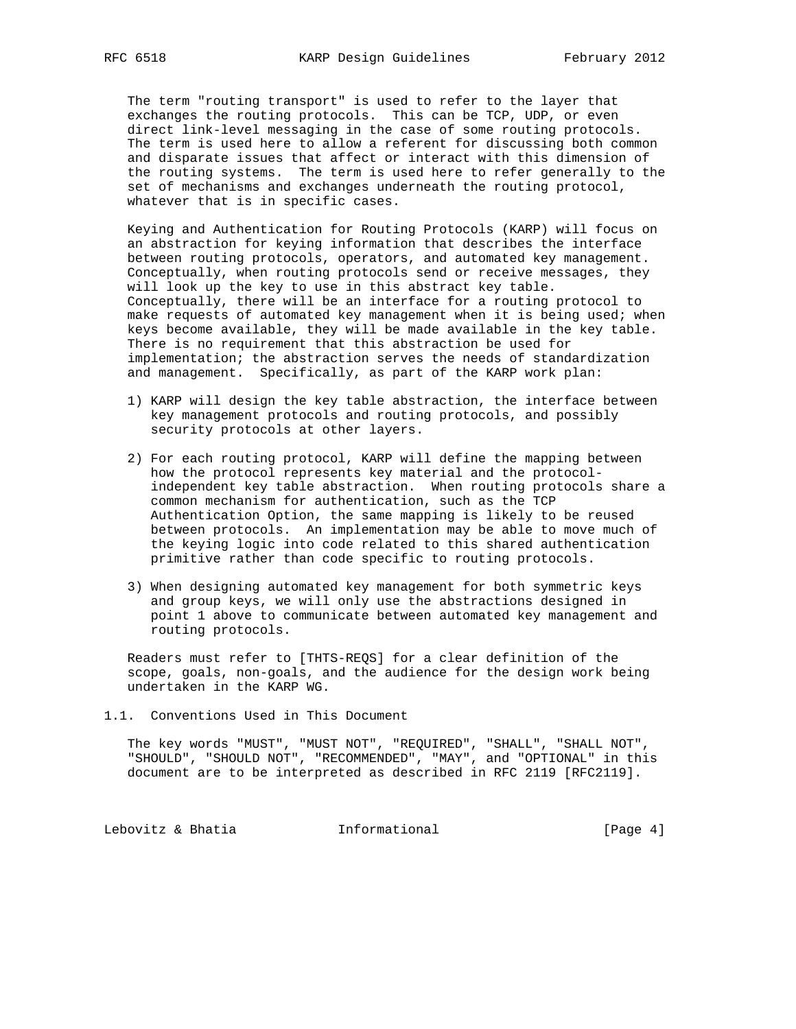The term "routing transport" is used to refer to the layer that exchanges the routing protocols. This can be TCP, UDP, or even direct link-level messaging in the case of some routing protocols. The term is used here to allow a referent for discussing both common and disparate issues that affect or interact with this dimension of the routing systems. The term is used here to refer generally to the set of mechanisms and exchanges underneath the routing protocol, whatever that is in specific cases.

 Keying and Authentication for Routing Protocols (KARP) will focus on an abstraction for keying information that describes the interface between routing protocols, operators, and automated key management. Conceptually, when routing protocols send or receive messages, they will look up the key to use in this abstract key table. Conceptually, there will be an interface for a routing protocol to make requests of automated key management when it is being used; when keys become available, they will be made available in the key table. There is no requirement that this abstraction be used for implementation; the abstraction serves the needs of standardization and management. Specifically, as part of the KARP work plan:

- 1) KARP will design the key table abstraction, the interface between key management protocols and routing protocols, and possibly security protocols at other layers.
- 2) For each routing protocol, KARP will define the mapping between how the protocol represents key material and the protocol independent key table abstraction. When routing protocols share a common mechanism for authentication, such as the TCP Authentication Option, the same mapping is likely to be reused between protocols. An implementation may be able to move much of the keying logic into code related to this shared authentication primitive rather than code specific to routing protocols.
- 3) When designing automated key management for both symmetric keys and group keys, we will only use the abstractions designed in point 1 above to communicate between automated key management and routing protocols.

 Readers must refer to [THTS-REQS] for a clear definition of the scope, goals, non-goals, and the audience for the design work being undertaken in the KARP WG.

1.1. Conventions Used in This Document

 The key words "MUST", "MUST NOT", "REQUIRED", "SHALL", "SHALL NOT", "SHOULD", "SHOULD NOT", "RECOMMENDED", "MAY", and "OPTIONAL" in this document are to be interpreted as described in RFC 2119 [RFC2119].

Lebovitz & Bhatia  $I_n$  Informational [Page 4]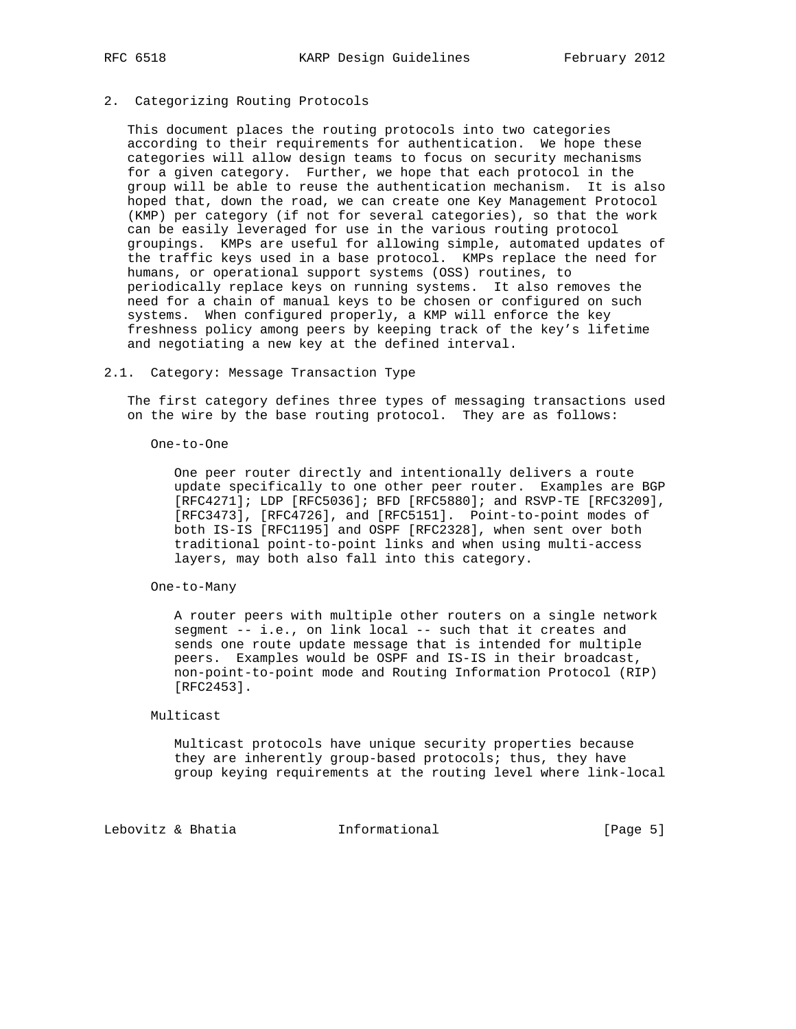## 2. Categorizing Routing Protocols

 This document places the routing protocols into two categories according to their requirements for authentication. We hope these categories will allow design teams to focus on security mechanisms for a given category. Further, we hope that each protocol in the group will be able to reuse the authentication mechanism. It is also hoped that, down the road, we can create one Key Management Protocol (KMP) per category (if not for several categories), so that the work can be easily leveraged for use in the various routing protocol groupings. KMPs are useful for allowing simple, automated updates of the traffic keys used in a base protocol. KMPs replace the need for humans, or operational support systems (OSS) routines, to periodically replace keys on running systems. It also removes the need for a chain of manual keys to be chosen or configured on such systems. When configured properly, a KMP will enforce the key freshness policy among peers by keeping track of the key's lifetime and negotiating a new key at the defined interval.

#### 2.1. Category: Message Transaction Type

 The first category defines three types of messaging transactions used on the wire by the base routing protocol. They are as follows:

One-to-One

 One peer router directly and intentionally delivers a route update specifically to one other peer router. Examples are BGP [RFC4271]; LDP [RFC5036]; BFD [RFC5880]; and RSVP-TE [RFC3209], [RFC3473], [RFC4726], and [RFC5151]. Point-to-point modes of both IS-IS [RFC1195] and OSPF [RFC2328], when sent over both traditional point-to-point links and when using multi-access layers, may both also fall into this category.

One-to-Many

 A router peers with multiple other routers on a single network segment -- i.e., on link local -- such that it creates and sends one route update message that is intended for multiple peers. Examples would be OSPF and IS-IS in their broadcast, non-point-to-point mode and Routing Information Protocol (RIP) [RFC2453].

#### Multicast

 Multicast protocols have unique security properties because they are inherently group-based protocols; thus, they have group keying requirements at the routing level where link-local

Lebovitz & Bhatia  $I_n$  Informational [Page 5]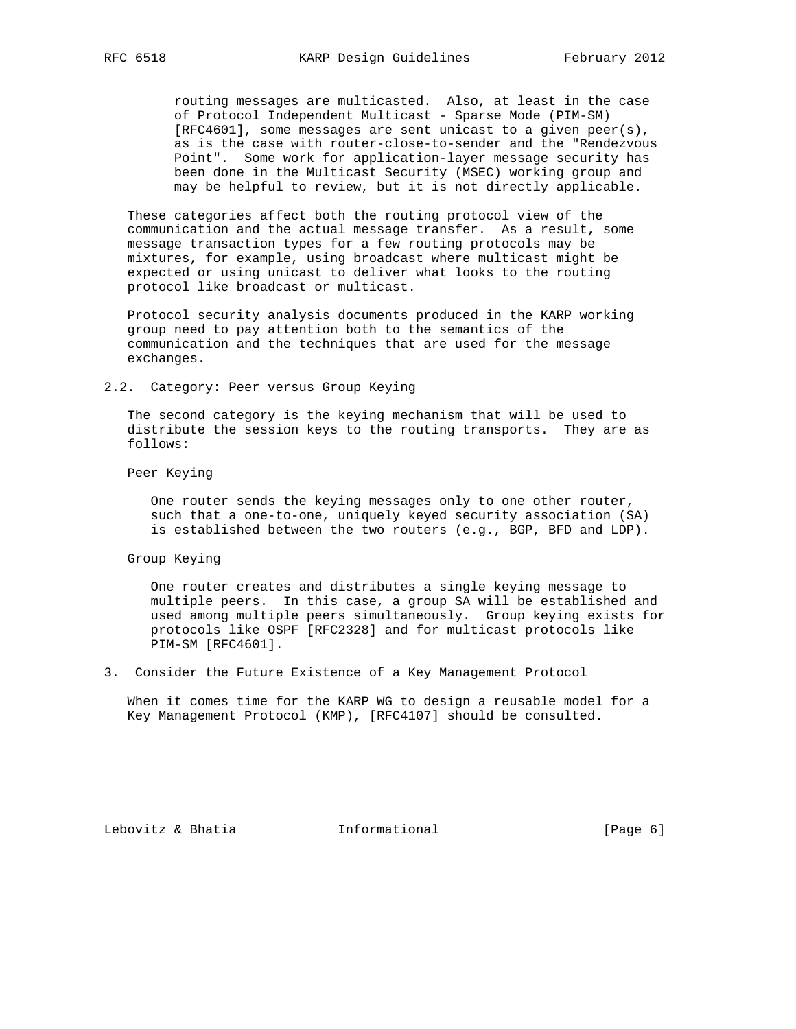routing messages are multicasted. Also, at least in the case of Protocol Independent Multicast - Sparse Mode (PIM-SM) [RFC4601], some messages are sent unicast to a given peer(s), as is the case with router-close-to-sender and the "Rendezvous Point". Some work for application-layer message security has been done in the Multicast Security (MSEC) working group and may be helpful to review, but it is not directly applicable.

 These categories affect both the routing protocol view of the communication and the actual message transfer. As a result, some message transaction types for a few routing protocols may be mixtures, for example, using broadcast where multicast might be expected or using unicast to deliver what looks to the routing protocol like broadcast or multicast.

 Protocol security analysis documents produced in the KARP working group need to pay attention both to the semantics of the communication and the techniques that are used for the message exchanges.

2.2. Category: Peer versus Group Keying

 The second category is the keying mechanism that will be used to distribute the session keys to the routing transports. They are as follows:

Peer Keying

 One router sends the keying messages only to one other router, such that a one-to-one, uniquely keyed security association (SA) is established between the two routers (e.g., BGP, BFD and LDP).

Group Keying

 One router creates and distributes a single keying message to multiple peers. In this case, a group SA will be established and used among multiple peers simultaneously. Group keying exists for protocols like OSPF [RFC2328] and for multicast protocols like PIM-SM [RFC4601].

3. Consider the Future Existence of a Key Management Protocol

 When it comes time for the KARP WG to design a reusable model for a Key Management Protocol (KMP), [RFC4107] should be consulted.

Lebovitz & Bhatia  $I_n$  Informational [Page 6]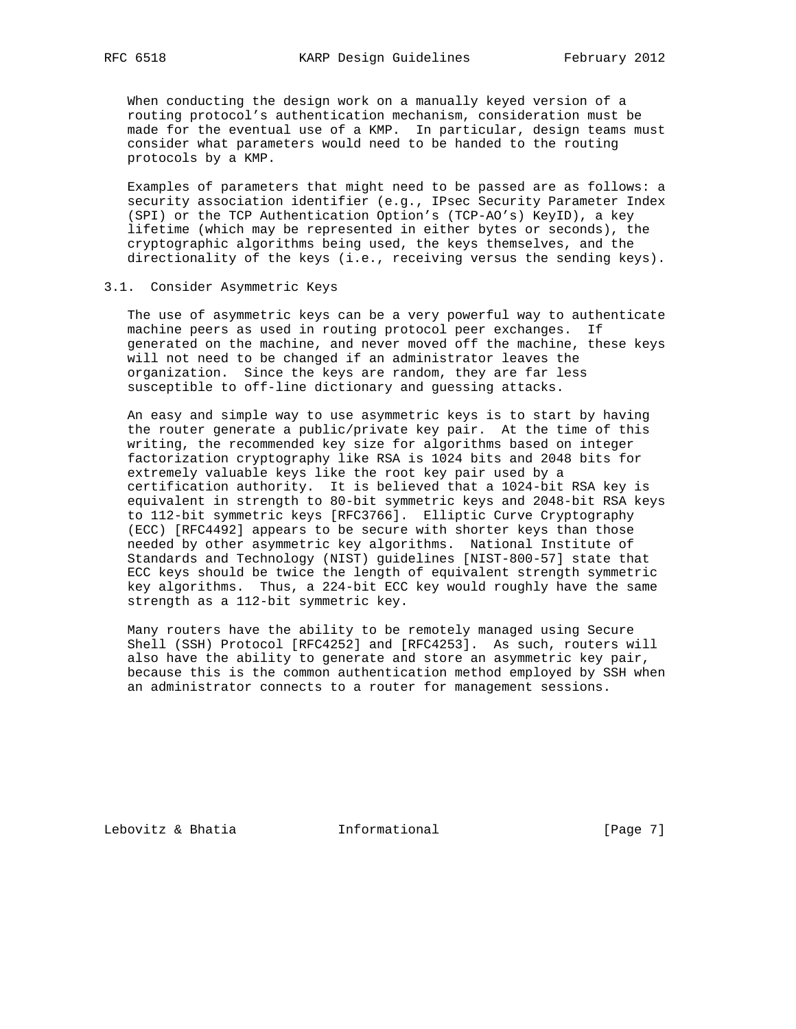When conducting the design work on a manually keyed version of a routing protocol's authentication mechanism, consideration must be made for the eventual use of a KMP. In particular, design teams must consider what parameters would need to be handed to the routing protocols by a KMP.

 Examples of parameters that might need to be passed are as follows: a security association identifier (e.g., IPsec Security Parameter Index (SPI) or the TCP Authentication Option's (TCP-AO's) KeyID), a key lifetime (which may be represented in either bytes or seconds), the cryptographic algorithms being used, the keys themselves, and the directionality of the keys (i.e., receiving versus the sending keys).

#### 3.1. Consider Asymmetric Keys

 The use of asymmetric keys can be a very powerful way to authenticate machine peers as used in routing protocol peer exchanges. If generated on the machine, and never moved off the machine, these keys will not need to be changed if an administrator leaves the organization. Since the keys are random, they are far less susceptible to off-line dictionary and guessing attacks.

 An easy and simple way to use asymmetric keys is to start by having the router generate a public/private key pair. At the time of this writing, the recommended key size for algorithms based on integer factorization cryptography like RSA is 1024 bits and 2048 bits for extremely valuable keys like the root key pair used by a certification authority. It is believed that a 1024-bit RSA key is equivalent in strength to 80-bit symmetric keys and 2048-bit RSA keys to 112-bit symmetric keys [RFC3766]. Elliptic Curve Cryptography (ECC) [RFC4492] appears to be secure with shorter keys than those needed by other asymmetric key algorithms. National Institute of Standards and Technology (NIST) guidelines [NIST-800-57] state that ECC keys should be twice the length of equivalent strength symmetric key algorithms. Thus, a 224-bit ECC key would roughly have the same strength as a 112-bit symmetric key.

 Many routers have the ability to be remotely managed using Secure Shell (SSH) Protocol [RFC4252] and [RFC4253]. As such, routers will also have the ability to generate and store an asymmetric key pair, because this is the common authentication method employed by SSH when an administrator connects to a router for management sessions.

Lebovitz & Bhatia  $I_n$  Informational [Page 7]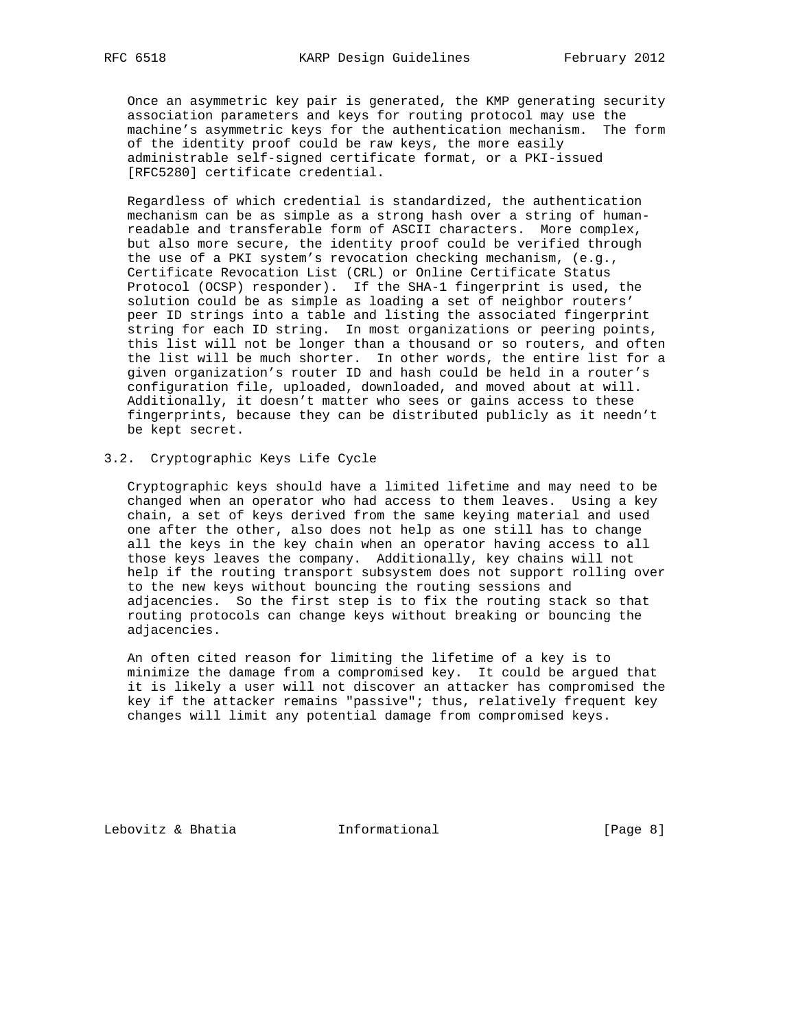Once an asymmetric key pair is generated, the KMP generating security association parameters and keys for routing protocol may use the machine's asymmetric keys for the authentication mechanism. The form of the identity proof could be raw keys, the more easily administrable self-signed certificate format, or a PKI-issued [RFC5280] certificate credential.

 Regardless of which credential is standardized, the authentication mechanism can be as simple as a strong hash over a string of human readable and transferable form of ASCII characters. More complex, but also more secure, the identity proof could be verified through the use of a PKI system's revocation checking mechanism, (e.g., Certificate Revocation List (CRL) or Online Certificate Status Protocol (OCSP) responder). If the SHA-1 fingerprint is used, the solution could be as simple as loading a set of neighbor routers' peer ID strings into a table and listing the associated fingerprint string for each ID string. In most organizations or peering points, this list will not be longer than a thousand or so routers, and often the list will be much shorter. In other words, the entire list for a given organization's router ID and hash could be held in a router's configuration file, uploaded, downloaded, and moved about at will. Additionally, it doesn't matter who sees or gains access to these fingerprints, because they can be distributed publicly as it needn't be kept secret.

## 3.2. Cryptographic Keys Life Cycle

 Cryptographic keys should have a limited lifetime and may need to be changed when an operator who had access to them leaves. Using a key chain, a set of keys derived from the same keying material and used one after the other, also does not help as one still has to change all the keys in the key chain when an operator having access to all those keys leaves the company. Additionally, key chains will not help if the routing transport subsystem does not support rolling over to the new keys without bouncing the routing sessions and adjacencies. So the first step is to fix the routing stack so that routing protocols can change keys without breaking or bouncing the adjacencies.

 An often cited reason for limiting the lifetime of a key is to minimize the damage from a compromised key. It could be argued that it is likely a user will not discover an attacker has compromised the key if the attacker remains "passive"; thus, relatively frequent key changes will limit any potential damage from compromised keys.

Lebovitz & Bhatia  $I_n$  Informational [Page 8]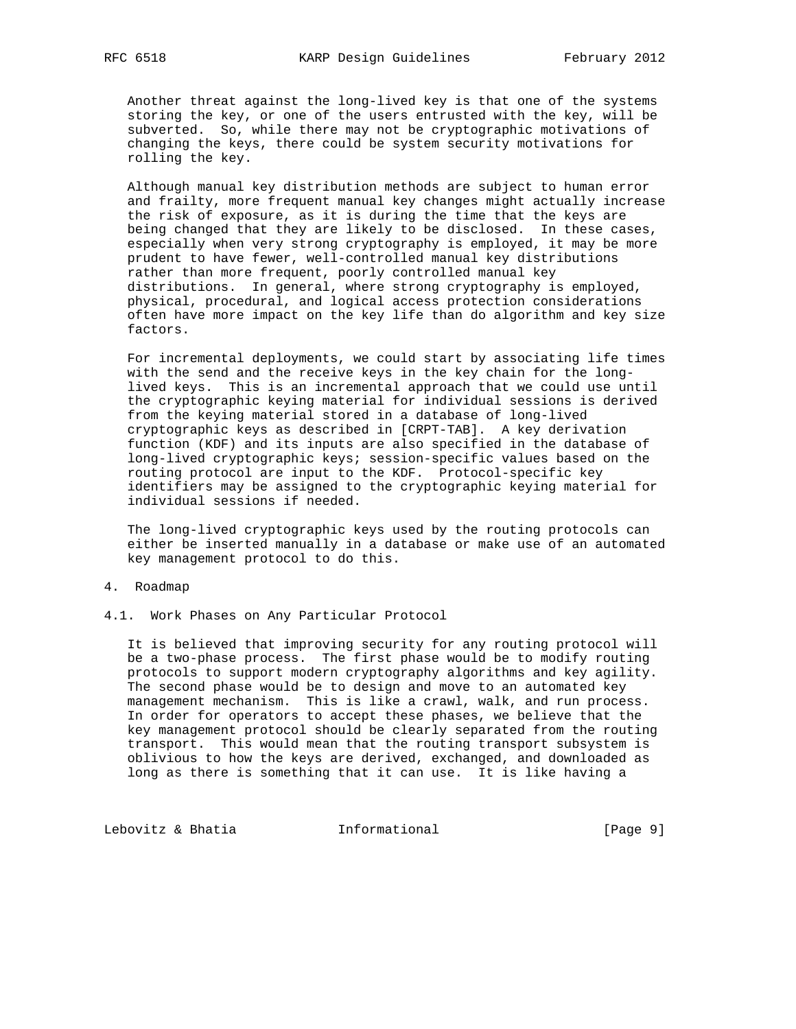Another threat against the long-lived key is that one of the systems storing the key, or one of the users entrusted with the key, will be subverted. So, while there may not be cryptographic motivations of changing the keys, there could be system security motivations for rolling the key.

 Although manual key distribution methods are subject to human error and frailty, more frequent manual key changes might actually increase the risk of exposure, as it is during the time that the keys are being changed that they are likely to be disclosed. In these cases, especially when very strong cryptography is employed, it may be more prudent to have fewer, well-controlled manual key distributions rather than more frequent, poorly controlled manual key distributions. In general, where strong cryptography is employed, physical, procedural, and logical access protection considerations often have more impact on the key life than do algorithm and key size factors.

 For incremental deployments, we could start by associating life times with the send and the receive keys in the key chain for the long lived keys. This is an incremental approach that we could use until the cryptographic keying material for individual sessions is derived from the keying material stored in a database of long-lived cryptographic keys as described in [CRPT-TAB]. A key derivation function (KDF) and its inputs are also specified in the database of long-lived cryptographic keys; session-specific values based on the routing protocol are input to the KDF. Protocol-specific key identifiers may be assigned to the cryptographic keying material for individual sessions if needed.

 The long-lived cryptographic keys used by the routing protocols can either be inserted manually in a database or make use of an automated key management protocol to do this.

### 4. Roadmap

4.1. Work Phases on Any Particular Protocol

 It is believed that improving security for any routing protocol will be a two-phase process. The first phase would be to modify routing protocols to support modern cryptography algorithms and key agility. The second phase would be to design and move to an automated key management mechanism. This is like a crawl, walk, and run process. In order for operators to accept these phases, we believe that the key management protocol should be clearly separated from the routing transport. This would mean that the routing transport subsystem is oblivious to how the keys are derived, exchanged, and downloaded as long as there is something that it can use. It is like having a

Lebovitz & Bhatia  $\qquad \qquad$  Informational  $\qquad \qquad$  [Page 9]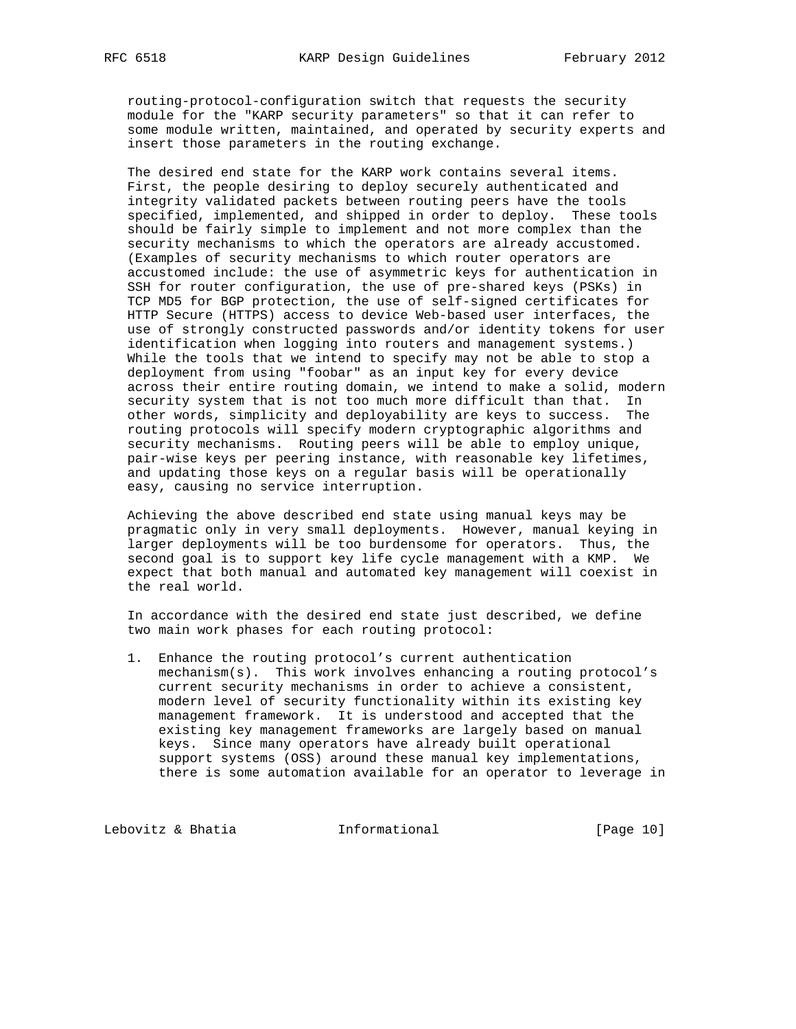routing-protocol-configuration switch that requests the security module for the "KARP security parameters" so that it can refer to some module written, maintained, and operated by security experts and insert those parameters in the routing exchange.

 The desired end state for the KARP work contains several items. First, the people desiring to deploy securely authenticated and integrity validated packets between routing peers have the tools specified, implemented, and shipped in order to deploy. These tools should be fairly simple to implement and not more complex than the security mechanisms to which the operators are already accustomed. (Examples of security mechanisms to which router operators are accustomed include: the use of asymmetric keys for authentication in SSH for router configuration, the use of pre-shared keys (PSKs) in TCP MD5 for BGP protection, the use of self-signed certificates for HTTP Secure (HTTPS) access to device Web-based user interfaces, the use of strongly constructed passwords and/or identity tokens for user identification when logging into routers and management systems.) While the tools that we intend to specify may not be able to stop a deployment from using "foobar" as an input key for every device across their entire routing domain, we intend to make a solid, modern security system that is not too much more difficult than that. In other words, simplicity and deployability are keys to success. The routing protocols will specify modern cryptographic algorithms and security mechanisms. Routing peers will be able to employ unique, pair-wise keys per peering instance, with reasonable key lifetimes, and updating those keys on a regular basis will be operationally easy, causing no service interruption.

 Achieving the above described end state using manual keys may be pragmatic only in very small deployments. However, manual keying in larger deployments will be too burdensome for operators. Thus, the second goal is to support key life cycle management with a KMP. We expect that both manual and automated key management will coexist in the real world.

 In accordance with the desired end state just described, we define two main work phases for each routing protocol:

 1. Enhance the routing protocol's current authentication mechanism(s). This work involves enhancing a routing protocol's current security mechanisms in order to achieve a consistent, modern level of security functionality within its existing key management framework. It is understood and accepted that the existing key management frameworks are largely based on manual keys. Since many operators have already built operational support systems (OSS) around these manual key implementations, there is some automation available for an operator to leverage in

Lebovitz & Bhatia  $\qquad \qquad$  Informational [Page 10]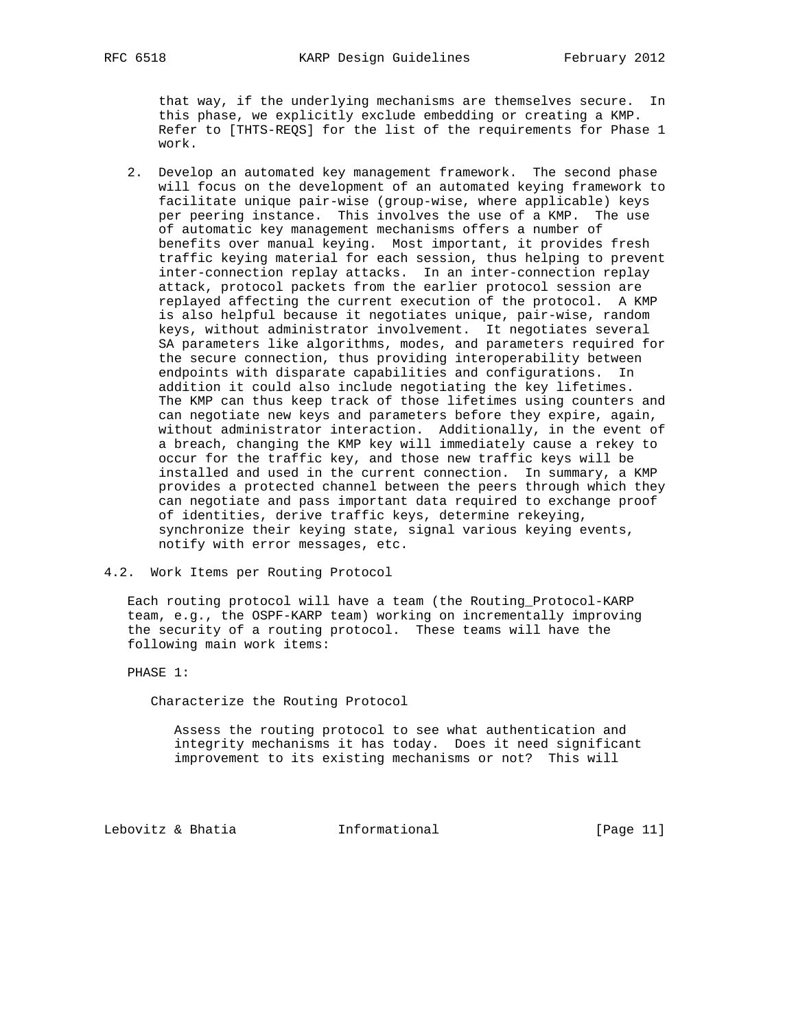that way, if the underlying mechanisms are themselves secure. In this phase, we explicitly exclude embedding or creating a KMP. Refer to [THTS-REQS] for the list of the requirements for Phase 1 work.

 2. Develop an automated key management framework. The second phase will focus on the development of an automated keying framework to facilitate unique pair-wise (group-wise, where applicable) keys per peering instance. This involves the use of a KMP. The use of automatic key management mechanisms offers a number of benefits over manual keying. Most important, it provides fresh traffic keying material for each session, thus helping to prevent inter-connection replay attacks. In an inter-connection replay attack, protocol packets from the earlier protocol session are replayed affecting the current execution of the protocol. A KMP is also helpful because it negotiates unique, pair-wise, random keys, without administrator involvement. It negotiates several SA parameters like algorithms, modes, and parameters required for the secure connection, thus providing interoperability between endpoints with disparate capabilities and configurations. In addition it could also include negotiating the key lifetimes. The KMP can thus keep track of those lifetimes using counters and can negotiate new keys and parameters before they expire, again, without administrator interaction. Additionally, in the event of a breach, changing the KMP key will immediately cause a rekey to occur for the traffic key, and those new traffic keys will be installed and used in the current connection. In summary, a KMP provides a protected channel between the peers through which they can negotiate and pass important data required to exchange proof of identities, derive traffic keys, determine rekeying, synchronize their keying state, signal various keying events, notify with error messages, etc.

4.2. Work Items per Routing Protocol

 Each routing protocol will have a team (the Routing\_Protocol-KARP team, e.g., the OSPF-KARP team) working on incrementally improving the security of a routing protocol. These teams will have the following main work items:

PHASE 1:

Characterize the Routing Protocol

 Assess the routing protocol to see what authentication and integrity mechanisms it has today. Does it need significant improvement to its existing mechanisms or not? This will

Lebovitz & Bhatia  $I_n$  Informational [Page 11]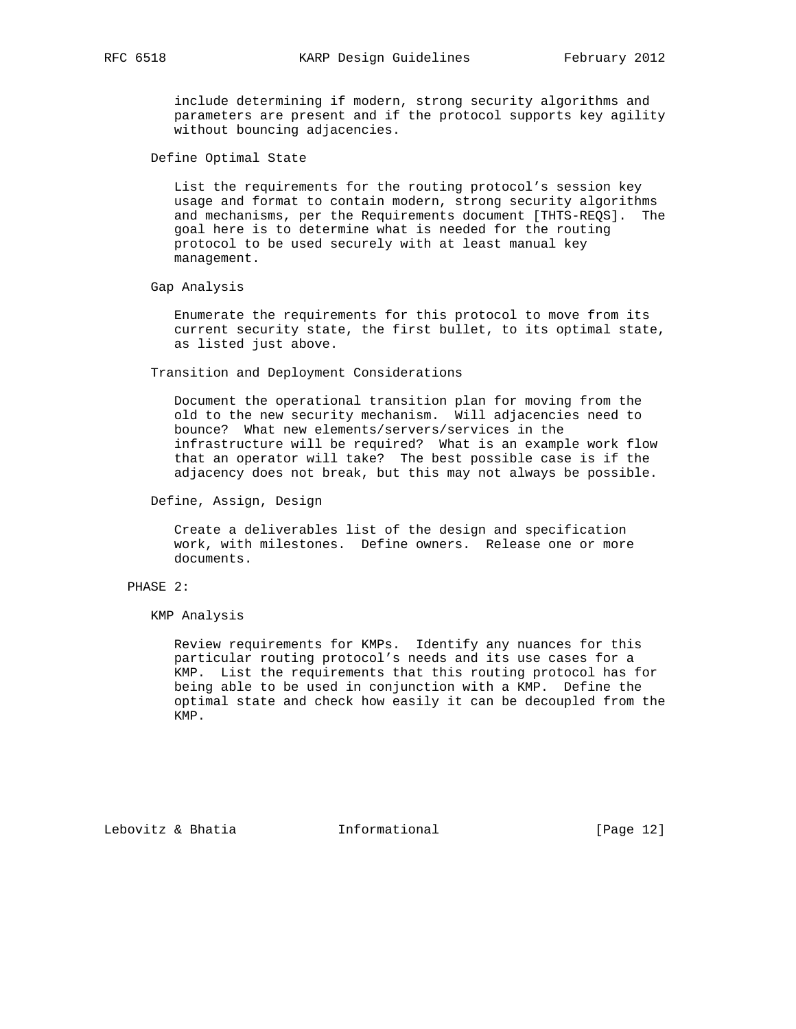include determining if modern, strong security algorithms and parameters are present and if the protocol supports key agility without bouncing adjacencies.

Define Optimal State

 List the requirements for the routing protocol's session key usage and format to contain modern, strong security algorithms and mechanisms, per the Requirements document [THTS-REQS]. The goal here is to determine what is needed for the routing protocol to be used securely with at least manual key management.

Gap Analysis

 Enumerate the requirements for this protocol to move from its current security state, the first bullet, to its optimal state, as listed just above.

Transition and Deployment Considerations

 Document the operational transition plan for moving from the old to the new security mechanism. Will adjacencies need to bounce? What new elements/servers/services in the infrastructure will be required? What is an example work flow that an operator will take? The best possible case is if the adjacency does not break, but this may not always be possible.

Define, Assign, Design

 Create a deliverables list of the design and specification work, with milestones. Define owners. Release one or more documents.

## PHASE 2:

KMP Analysis

 Review requirements for KMPs. Identify any nuances for this particular routing protocol's needs and its use cases for a KMP. List the requirements that this routing protocol has for being able to be used in conjunction with a KMP. Define the optimal state and check how easily it can be decoupled from the KMP.

Lebovitz & Bhatia  $I_n$  Informational [Page 12]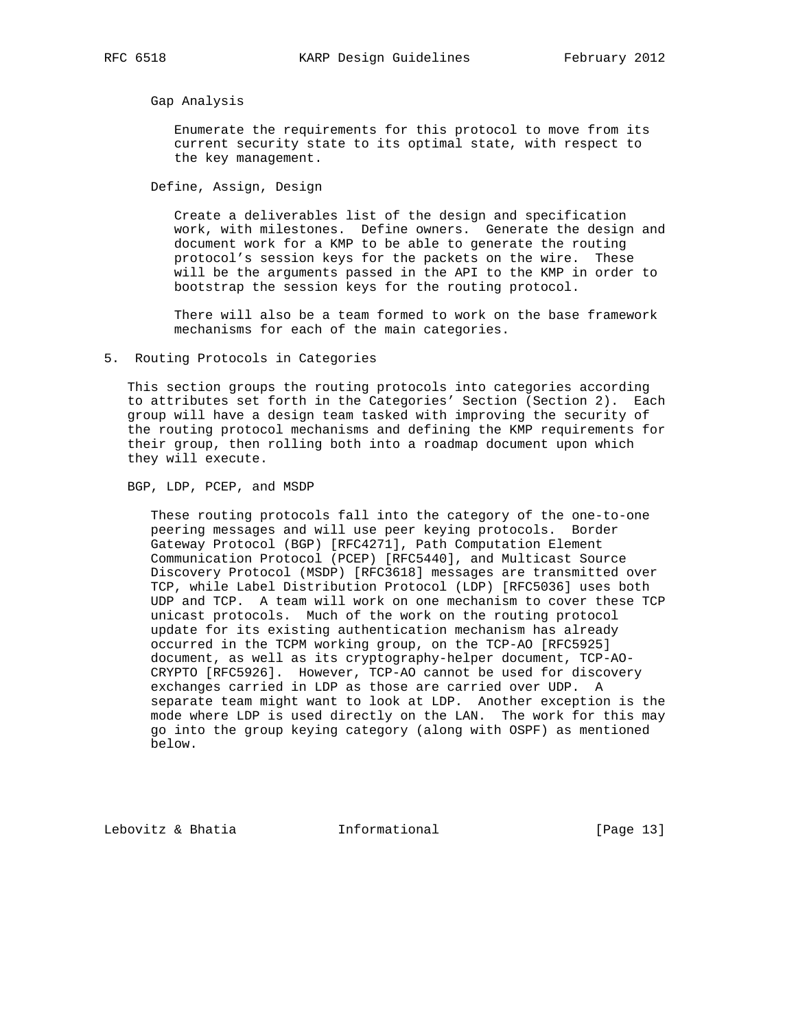Gap Analysis

 Enumerate the requirements for this protocol to move from its current security state to its optimal state, with respect to the key management.

Define, Assign, Design

 Create a deliverables list of the design and specification work, with milestones. Define owners. Generate the design and document work for a KMP to be able to generate the routing protocol's session keys for the packets on the wire. These will be the arguments passed in the API to the KMP in order to bootstrap the session keys for the routing protocol.

 There will also be a team formed to work on the base framework mechanisms for each of the main categories.

5. Routing Protocols in Categories

 This section groups the routing protocols into categories according to attributes set forth in the Categories' Section (Section 2). Each group will have a design team tasked with improving the security of the routing protocol mechanisms and defining the KMP requirements for their group, then rolling both into a roadmap document upon which they will execute.

BGP, LDP, PCEP, and MSDP

 These routing protocols fall into the category of the one-to-one peering messages and will use peer keying protocols. Border Gateway Protocol (BGP) [RFC4271], Path Computation Element Communication Protocol (PCEP) [RFC5440], and Multicast Source Discovery Protocol (MSDP) [RFC3618] messages are transmitted over TCP, while Label Distribution Protocol (LDP) [RFC5036] uses both UDP and TCP. A team will work on one mechanism to cover these TCP unicast protocols. Much of the work on the routing protocol update for its existing authentication mechanism has already occurred in the TCPM working group, on the TCP-AO [RFC5925] document, as well as its cryptography-helper document, TCP-AO- CRYPTO [RFC5926]. However, TCP-AO cannot be used for discovery exchanges carried in LDP as those are carried over UDP. A separate team might want to look at LDP. Another exception is the mode where LDP is used directly on the LAN. The work for this may go into the group keying category (along with OSPF) as mentioned below.

Lebovitz & Bhatia Informational [Page 13]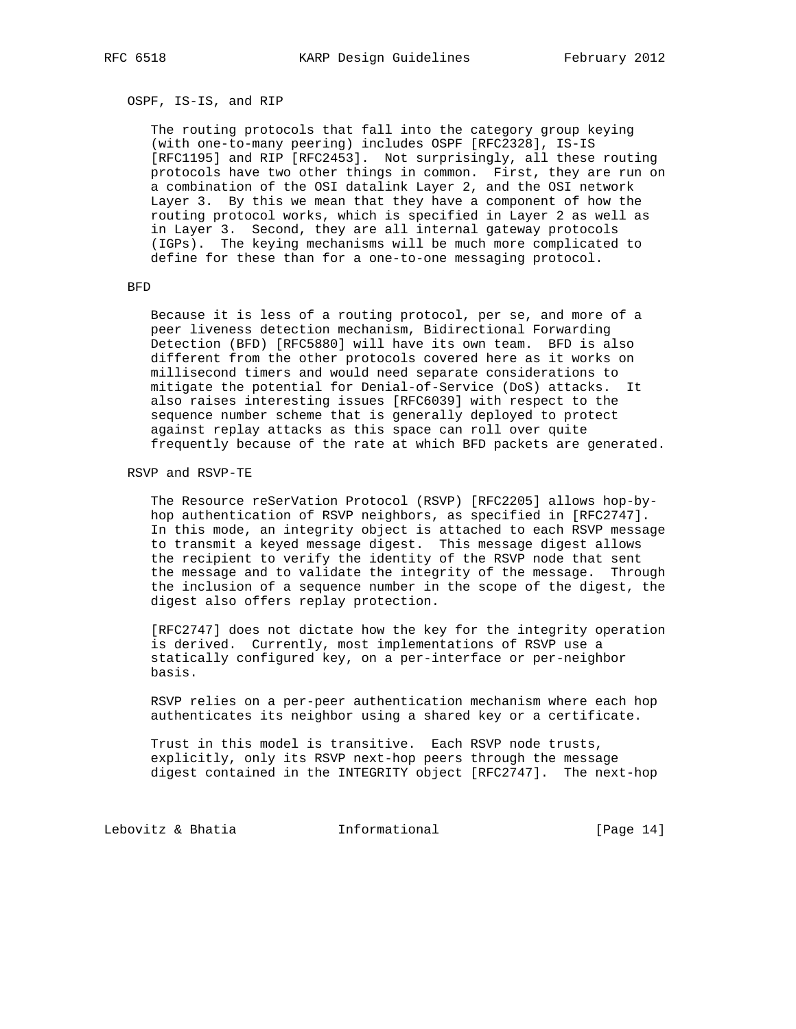OSPF, IS-IS, and RIP

 The routing protocols that fall into the category group keying (with one-to-many peering) includes OSPF [RFC2328], IS-IS [RFC1195] and RIP [RFC2453]. Not surprisingly, all these routing protocols have two other things in common. First, they are run on a combination of the OSI datalink Layer 2, and the OSI network Layer 3. By this we mean that they have a component of how the routing protocol works, which is specified in Layer 2 as well as in Layer 3. Second, they are all internal gateway protocols (IGPs). The keying mechanisms will be much more complicated to define for these than for a one-to-one messaging protocol.

BFD

 Because it is less of a routing protocol, per se, and more of a peer liveness detection mechanism, Bidirectional Forwarding Detection (BFD) [RFC5880] will have its own team. BFD is also different from the other protocols covered here as it works on millisecond timers and would need separate considerations to mitigate the potential for Denial-of-Service (DoS) attacks. It also raises interesting issues [RFC6039] with respect to the sequence number scheme that is generally deployed to protect against replay attacks as this space can roll over quite frequently because of the rate at which BFD packets are generated.

RSVP and RSVP-TE

 The Resource reSerVation Protocol (RSVP) [RFC2205] allows hop-by hop authentication of RSVP neighbors, as specified in [RFC2747]. In this mode, an integrity object is attached to each RSVP message to transmit a keyed message digest. This message digest allows the recipient to verify the identity of the RSVP node that sent the message and to validate the integrity of the message. Through the inclusion of a sequence number in the scope of the digest, the digest also offers replay protection.

 [RFC2747] does not dictate how the key for the integrity operation is derived. Currently, most implementations of RSVP use a statically configured key, on a per-interface or per-neighbor basis.

 RSVP relies on a per-peer authentication mechanism where each hop authenticates its neighbor using a shared key or a certificate.

 Trust in this model is transitive. Each RSVP node trusts, explicitly, only its RSVP next-hop peers through the message digest contained in the INTEGRITY object [RFC2747]. The next-hop

Lebovitz & Bhatia  $I_n$  Informational [Page 14]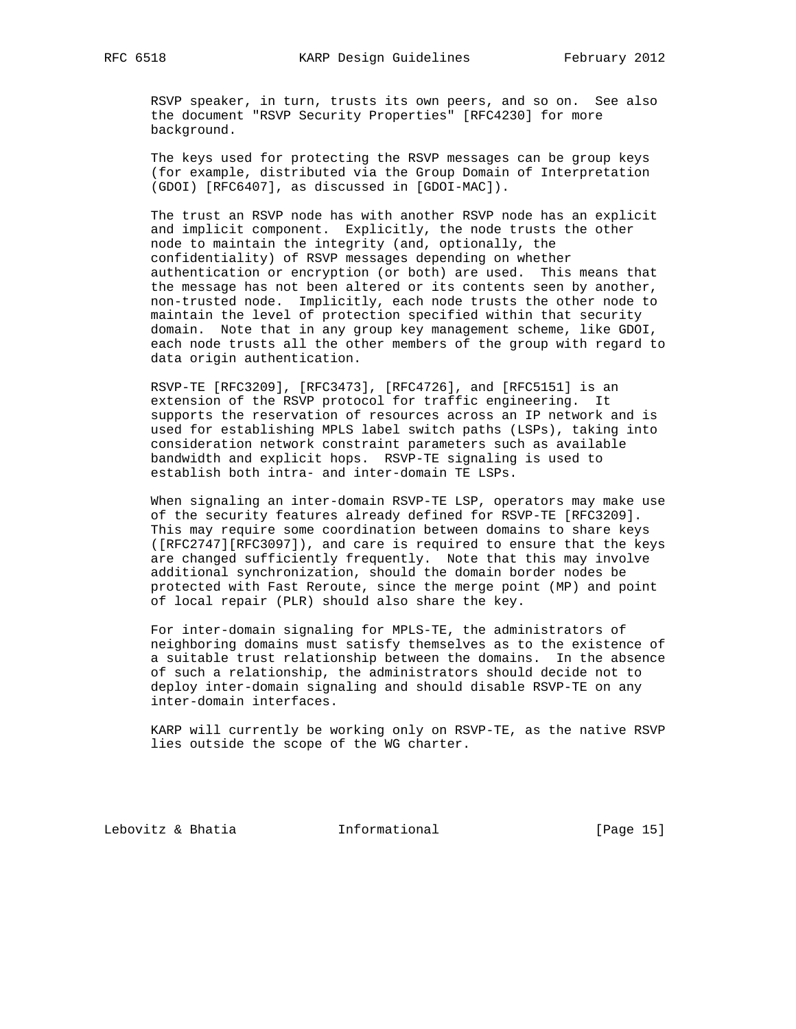RSVP speaker, in turn, trusts its own peers, and so on. See also the document "RSVP Security Properties" [RFC4230] for more background.

 The keys used for protecting the RSVP messages can be group keys (for example, distributed via the Group Domain of Interpretation (GDOI) [RFC6407], as discussed in [GDOI-MAC]).

 The trust an RSVP node has with another RSVP node has an explicit and implicit component. Explicitly, the node trusts the other node to maintain the integrity (and, optionally, the confidentiality) of RSVP messages depending on whether authentication or encryption (or both) are used. This means that the message has not been altered or its contents seen by another, non-trusted node. Implicitly, each node trusts the other node to maintain the level of protection specified within that security domain. Note that in any group key management scheme, like GDOI, each node trusts all the other members of the group with regard to data origin authentication.

 RSVP-TE [RFC3209], [RFC3473], [RFC4726], and [RFC5151] is an extension of the RSVP protocol for traffic engineering. It supports the reservation of resources across an IP network and is used for establishing MPLS label switch paths (LSPs), taking into consideration network constraint parameters such as available bandwidth and explicit hops. RSVP-TE signaling is used to establish both intra- and inter-domain TE LSPs.

 When signaling an inter-domain RSVP-TE LSP, operators may make use of the security features already defined for RSVP-TE [RFC3209]. This may require some coordination between domains to share keys ([RFC2747][RFC3097]), and care is required to ensure that the keys are changed sufficiently frequently. Note that this may involve additional synchronization, should the domain border nodes be protected with Fast Reroute, since the merge point (MP) and point of local repair (PLR) should also share the key.

 For inter-domain signaling for MPLS-TE, the administrators of neighboring domains must satisfy themselves as to the existence of a suitable trust relationship between the domains. In the absence of such a relationship, the administrators should decide not to deploy inter-domain signaling and should disable RSVP-TE on any inter-domain interfaces.

 KARP will currently be working only on RSVP-TE, as the native RSVP lies outside the scope of the WG charter.

Lebovitz & Bhatia  $I_n$  Informational [Page 15]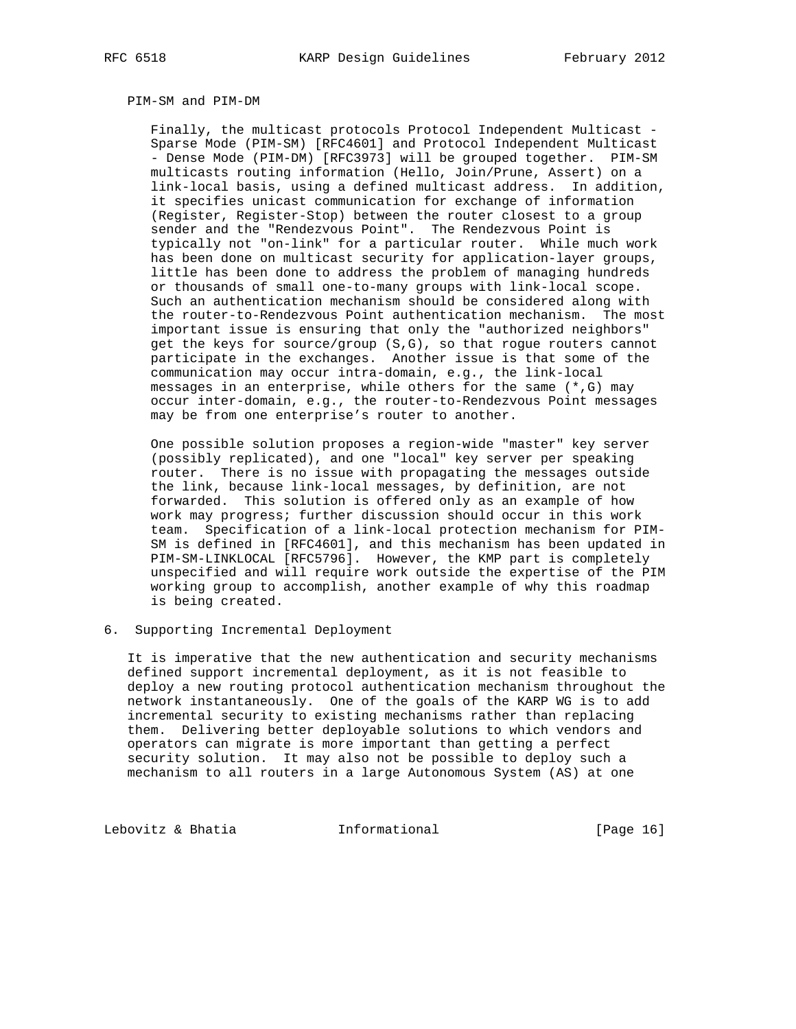### PIM-SM and PIM-DM

 Finally, the multicast protocols Protocol Independent Multicast - Sparse Mode (PIM-SM) [RFC4601] and Protocol Independent Multicast - Dense Mode (PIM-DM) [RFC3973] will be grouped together. PIM-SM multicasts routing information (Hello, Join/Prune, Assert) on a link-local basis, using a defined multicast address. In addition, it specifies unicast communication for exchange of information (Register, Register-Stop) between the router closest to a group sender and the "Rendezvous Point". The Rendezvous Point is typically not "on-link" for a particular router. While much work has been done on multicast security for application-layer groups, little has been done to address the problem of managing hundreds or thousands of small one-to-many groups with link-local scope. Such an authentication mechanism should be considered along with the router-to-Rendezvous Point authentication mechanism. The most important issue is ensuring that only the "authorized neighbors" get the keys for source/group (S,G), so that rogue routers cannot participate in the exchanges. Another issue is that some of the communication may occur intra-domain, e.g., the link-local messages in an enterprise, while others for the same (\*,G) may occur inter-domain, e.g., the router-to-Rendezvous Point messages may be from one enterprise's router to another.

 One possible solution proposes a region-wide "master" key server (possibly replicated), and one "local" key server per speaking router. There is no issue with propagating the messages outside the link, because link-local messages, by definition, are not forwarded. This solution is offered only as an example of how work may progress; further discussion should occur in this work team. Specification of a link-local protection mechanism for PIM- SM is defined in [RFC4601], and this mechanism has been updated in PIM-SM-LINKLOCAL [RFC5796]. However, the KMP part is completely unspecified and will require work outside the expertise of the PIM working group to accomplish, another example of why this roadmap is being created.

6. Supporting Incremental Deployment

 It is imperative that the new authentication and security mechanisms defined support incremental deployment, as it is not feasible to deploy a new routing protocol authentication mechanism throughout the network instantaneously. One of the goals of the KARP WG is to add incremental security to existing mechanisms rather than replacing them. Delivering better deployable solutions to which vendors and operators can migrate is more important than getting a perfect security solution. It may also not be possible to deploy such a mechanism to all routers in a large Autonomous System (AS) at one

Lebovitz & Bhatia  $I_n$  Informational [Page 16]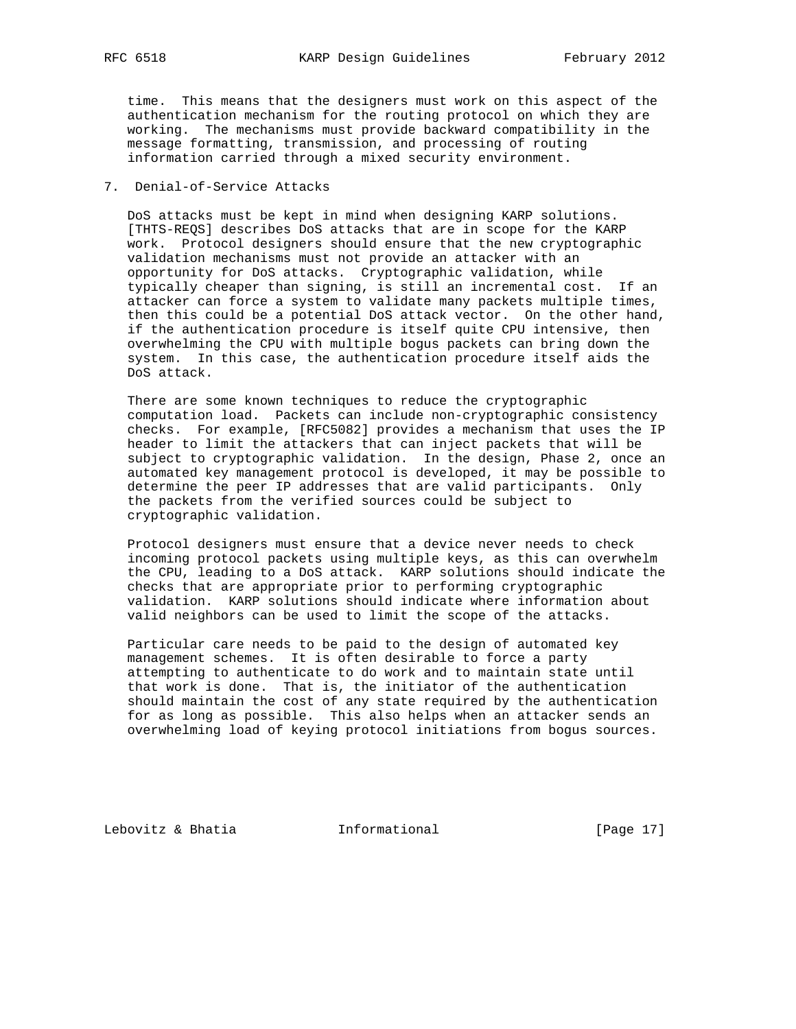time. This means that the designers must work on this aspect of the authentication mechanism for the routing protocol on which they are working. The mechanisms must provide backward compatibility in the message formatting, transmission, and processing of routing information carried through a mixed security environment.

### 7. Denial-of-Service Attacks

 DoS attacks must be kept in mind when designing KARP solutions. [THTS-REQS] describes DoS attacks that are in scope for the KARP work. Protocol designers should ensure that the new cryptographic validation mechanisms must not provide an attacker with an opportunity for DoS attacks. Cryptographic validation, while typically cheaper than signing, is still an incremental cost. If an attacker can force a system to validate many packets multiple times, then this could be a potential DoS attack vector. On the other hand, if the authentication procedure is itself quite CPU intensive, then overwhelming the CPU with multiple bogus packets can bring down the system. In this case, the authentication procedure itself aids the DoS attack.

 There are some known techniques to reduce the cryptographic computation load. Packets can include non-cryptographic consistency checks. For example, [RFC5082] provides a mechanism that uses the IP header to limit the attackers that can inject packets that will be subject to cryptographic validation. In the design, Phase 2, once an automated key management protocol is developed, it may be possible to determine the peer IP addresses that are valid participants. Only the packets from the verified sources could be subject to cryptographic validation.

 Protocol designers must ensure that a device never needs to check incoming protocol packets using multiple keys, as this can overwhelm the CPU, leading to a DoS attack. KARP solutions should indicate the checks that are appropriate prior to performing cryptographic validation. KARP solutions should indicate where information about valid neighbors can be used to limit the scope of the attacks.

 Particular care needs to be paid to the design of automated key management schemes. It is often desirable to force a party attempting to authenticate to do work and to maintain state until that work is done. That is, the initiator of the authentication should maintain the cost of any state required by the authentication for as long as possible. This also helps when an attacker sends an overwhelming load of keying protocol initiations from bogus sources.

Lebovitz & Bhatia  $\qquad \qquad$  Informational  $\qquad \qquad$  [Page 17]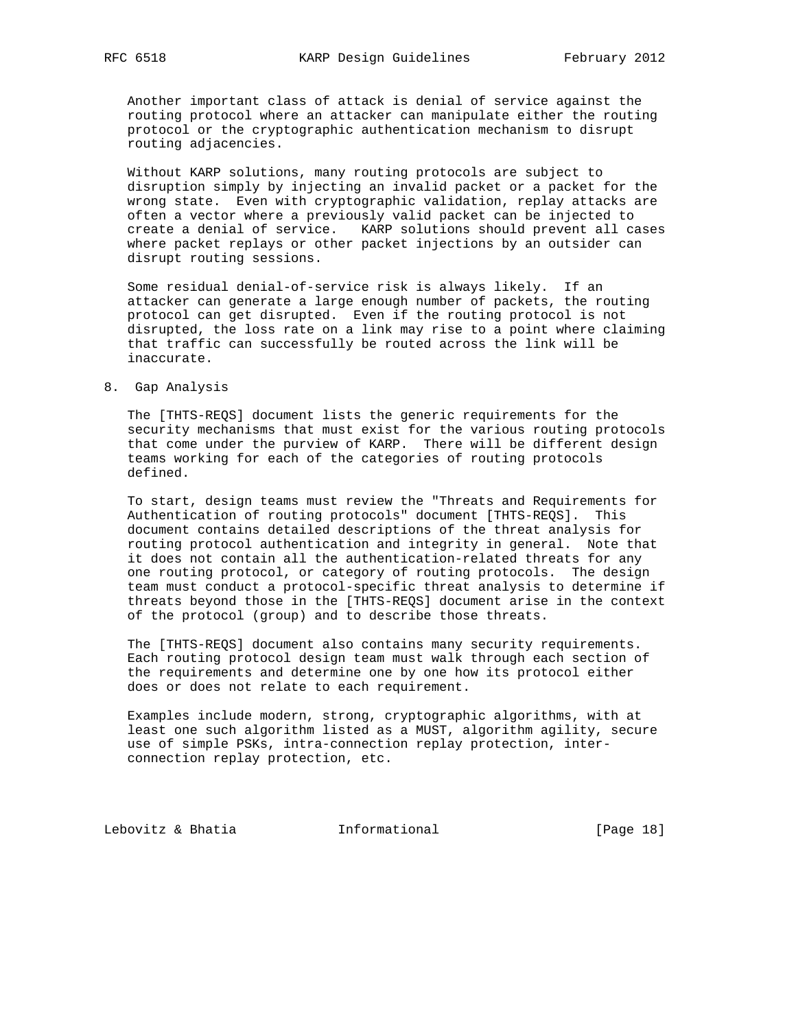Another important class of attack is denial of service against the routing protocol where an attacker can manipulate either the routing protocol or the cryptographic authentication mechanism to disrupt routing adjacencies.

 Without KARP solutions, many routing protocols are subject to disruption simply by injecting an invalid packet or a packet for the wrong state. Even with cryptographic validation, replay attacks are often a vector where a previously valid packet can be injected to create a denial of service. KARP solutions should prevent all cases where packet replays or other packet injections by an outsider can disrupt routing sessions.

 Some residual denial-of-service risk is always likely. If an attacker can generate a large enough number of packets, the routing protocol can get disrupted. Even if the routing protocol is not disrupted, the loss rate on a link may rise to a point where claiming that traffic can successfully be routed across the link will be inaccurate.

# 8. Gap Analysis

 The [THTS-REQS] document lists the generic requirements for the security mechanisms that must exist for the various routing protocols that come under the purview of KARP. There will be different design teams working for each of the categories of routing protocols defined.

 To start, design teams must review the "Threats and Requirements for Authentication of routing protocols" document [THTS-REQS]. This document contains detailed descriptions of the threat analysis for routing protocol authentication and integrity in general. Note that it does not contain all the authentication-related threats for any one routing protocol, or category of routing protocols. The design team must conduct a protocol-specific threat analysis to determine if threats beyond those in the [THTS-REQS] document arise in the context of the protocol (group) and to describe those threats.

 The [THTS-REQS] document also contains many security requirements. Each routing protocol design team must walk through each section of the requirements and determine one by one how its protocol either does or does not relate to each requirement.

 Examples include modern, strong, cryptographic algorithms, with at least one such algorithm listed as a MUST, algorithm agility, secure use of simple PSKs, intra-connection replay protection, inter connection replay protection, etc.

Lebovitz & Bhatia  $I_n$  Informational [Page 18]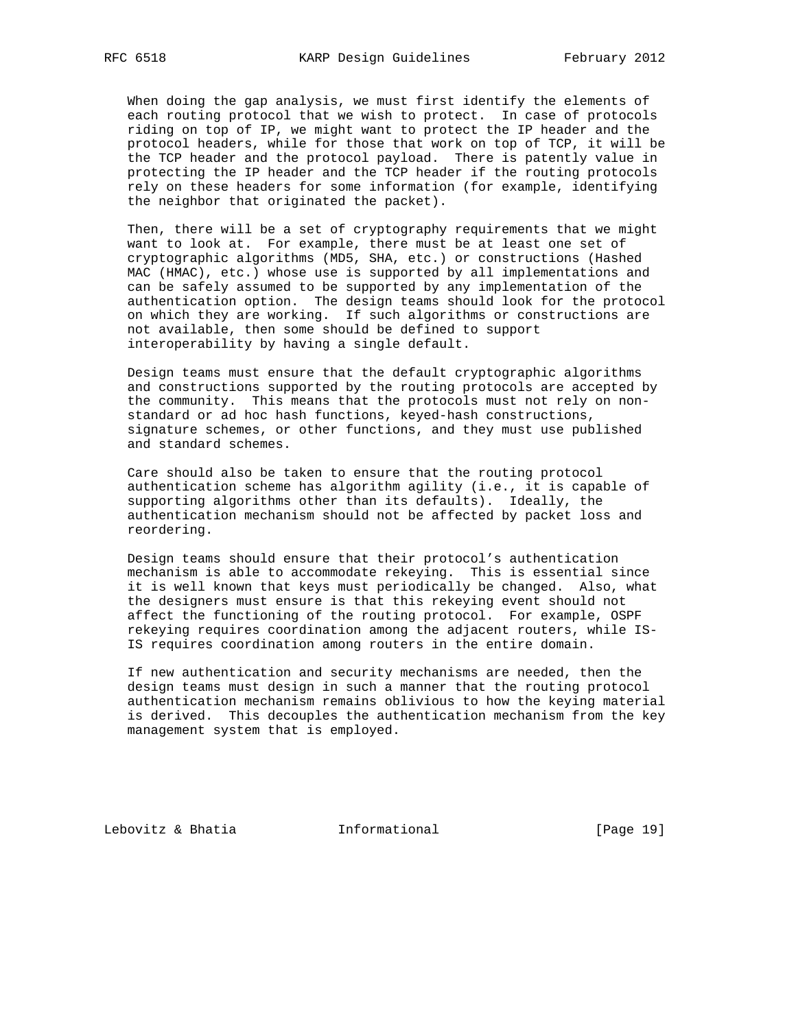When doing the gap analysis, we must first identify the elements of each routing protocol that we wish to protect. In case of protocols riding on top of IP, we might want to protect the IP header and the protocol headers, while for those that work on top of TCP, it will be the TCP header and the protocol payload. There is patently value in protecting the IP header and the TCP header if the routing protocols rely on these headers for some information (for example, identifying the neighbor that originated the packet).

 Then, there will be a set of cryptography requirements that we might want to look at. For example, there must be at least one set of cryptographic algorithms (MD5, SHA, etc.) or constructions (Hashed MAC (HMAC), etc.) whose use is supported by all implementations and can be safely assumed to be supported by any implementation of the authentication option. The design teams should look for the protocol on which they are working. If such algorithms or constructions are not available, then some should be defined to support interoperability by having a single default.

 Design teams must ensure that the default cryptographic algorithms and constructions supported by the routing protocols are accepted by the community. This means that the protocols must not rely on non standard or ad hoc hash functions, keyed-hash constructions, signature schemes, or other functions, and they must use published and standard schemes.

 Care should also be taken to ensure that the routing protocol authentication scheme has algorithm agility (i.e., it is capable of supporting algorithms other than its defaults). Ideally, the authentication mechanism should not be affected by packet loss and reordering.

 Design teams should ensure that their protocol's authentication mechanism is able to accommodate rekeying. This is essential since it is well known that keys must periodically be changed. Also, what the designers must ensure is that this rekeying event should not affect the functioning of the routing protocol. For example, OSPF rekeying requires coordination among the adjacent routers, while IS- IS requires coordination among routers in the entire domain.

 If new authentication and security mechanisms are needed, then the design teams must design in such a manner that the routing protocol authentication mechanism remains oblivious to how the keying material is derived. This decouples the authentication mechanism from the key management system that is employed.

Lebovitz & Bhatia  $I_n$  Informational [Page 19]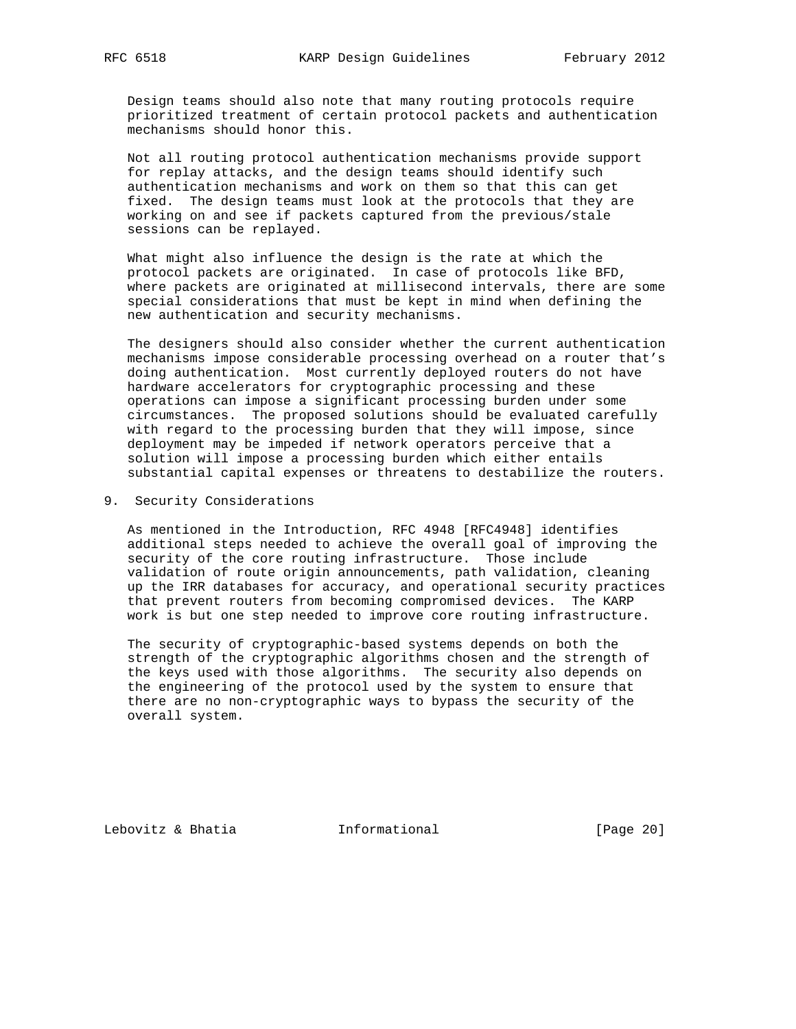Design teams should also note that many routing protocols require prioritized treatment of certain protocol packets and authentication mechanisms should honor this.

 Not all routing protocol authentication mechanisms provide support for replay attacks, and the design teams should identify such authentication mechanisms and work on them so that this can get fixed. The design teams must look at the protocols that they are working on and see if packets captured from the previous/stale sessions can be replayed.

 What might also influence the design is the rate at which the protocol packets are originated. In case of protocols like BFD, where packets are originated at millisecond intervals, there are some special considerations that must be kept in mind when defining the new authentication and security mechanisms.

 The designers should also consider whether the current authentication mechanisms impose considerable processing overhead on a router that's doing authentication. Most currently deployed routers do not have hardware accelerators for cryptographic processing and these operations can impose a significant processing burden under some circumstances. The proposed solutions should be evaluated carefully with regard to the processing burden that they will impose, since deployment may be impeded if network operators perceive that a solution will impose a processing burden which either entails substantial capital expenses or threatens to destabilize the routers.

9. Security Considerations

 As mentioned in the Introduction, RFC 4948 [RFC4948] identifies additional steps needed to achieve the overall goal of improving the security of the core routing infrastructure. Those include validation of route origin announcements, path validation, cleaning up the IRR databases for accuracy, and operational security practices that prevent routers from becoming compromised devices. The KARP work is but one step needed to improve core routing infrastructure.

 The security of cryptographic-based systems depends on both the strength of the cryptographic algorithms chosen and the strength of the keys used with those algorithms. The security also depends on the engineering of the protocol used by the system to ensure that there are no non-cryptographic ways to bypass the security of the overall system.

Lebovitz & Bhatia  $I_n$  Informational [Page 20]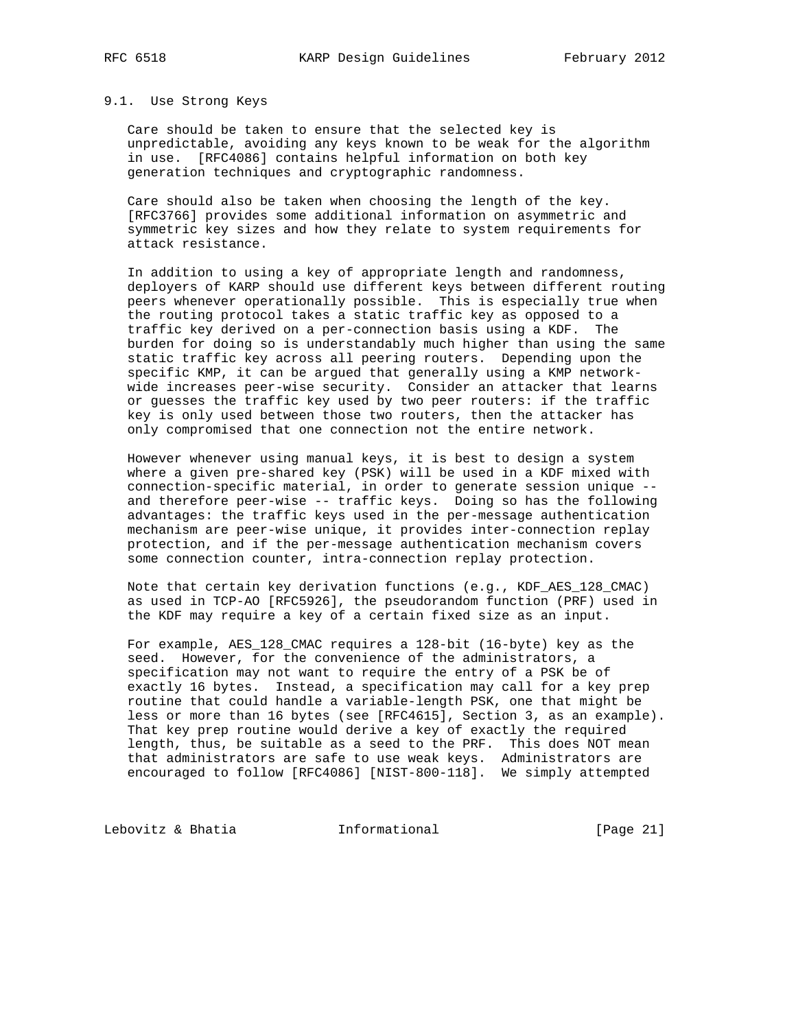#### 9.1. Use Strong Keys

 Care should be taken to ensure that the selected key is unpredictable, avoiding any keys known to be weak for the algorithm in use. [RFC4086] contains helpful information on both key generation techniques and cryptographic randomness.

 Care should also be taken when choosing the length of the key. [RFC3766] provides some additional information on asymmetric and symmetric key sizes and how they relate to system requirements for attack resistance.

 In addition to using a key of appropriate length and randomness, deployers of KARP should use different keys between different routing peers whenever operationally possible. This is especially true when the routing protocol takes a static traffic key as opposed to a traffic key derived on a per-connection basis using a KDF. The burden for doing so is understandably much higher than using the same static traffic key across all peering routers. Depending upon the specific KMP, it can be argued that generally using a KMP network wide increases peer-wise security. Consider an attacker that learns or guesses the traffic key used by two peer routers: if the traffic key is only used between those two routers, then the attacker has only compromised that one connection not the entire network.

 However whenever using manual keys, it is best to design a system where a given pre-shared key (PSK) will be used in a KDF mixed with connection-specific material, in order to generate session unique - and therefore peer-wise -- traffic keys. Doing so has the following advantages: the traffic keys used in the per-message authentication mechanism are peer-wise unique, it provides inter-connection replay protection, and if the per-message authentication mechanism covers some connection counter, intra-connection replay protection.

 Note that certain key derivation functions (e.g., KDF\_AES\_128\_CMAC) as used in TCP-AO [RFC5926], the pseudorandom function (PRF) used in the KDF may require a key of a certain fixed size as an input.

 For example, AES\_128\_CMAC requires a 128-bit (16-byte) key as the seed. However, for the convenience of the administrators, a specification may not want to require the entry of a PSK be of exactly 16 bytes. Instead, a specification may call for a key prep routine that could handle a variable-length PSK, one that might be less or more than 16 bytes (see [RFC4615], Section 3, as an example). That key prep routine would derive a key of exactly the required length, thus, be suitable as a seed to the PRF. This does NOT mean that administrators are safe to use weak keys. Administrators are encouraged to follow [RFC4086] [NIST-800-118]. We simply attempted

Lebovitz & Bhatia  $\qquad \qquad$  Informational  $\qquad \qquad$  [Page 21]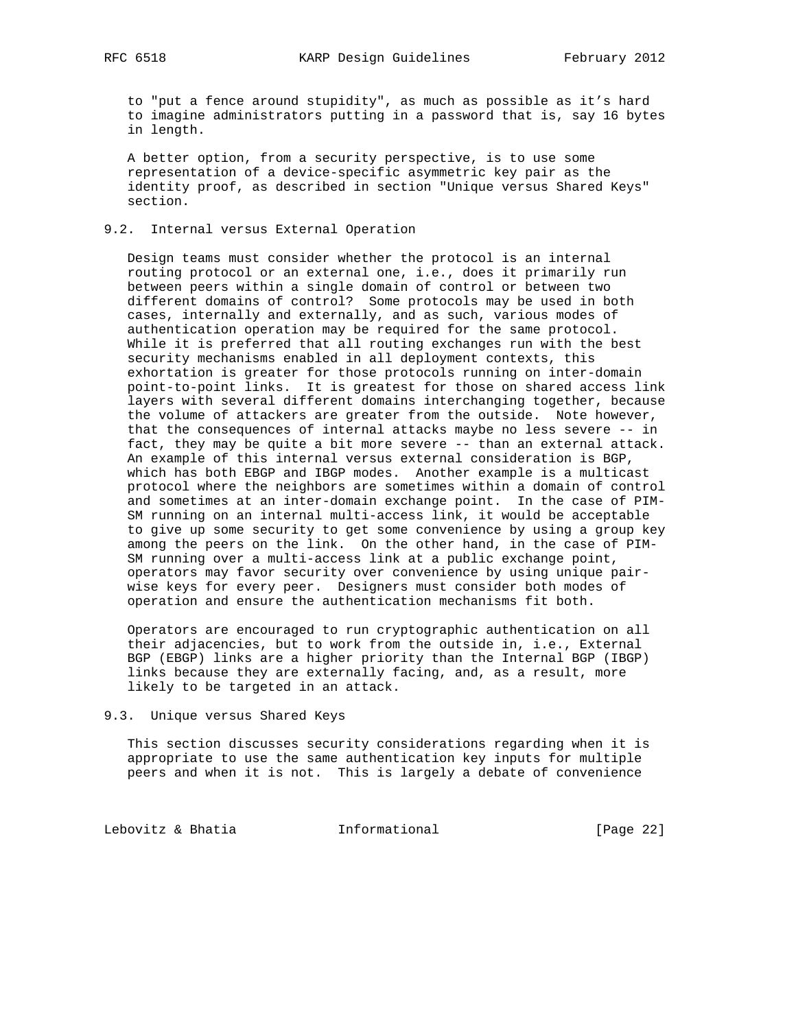to "put a fence around stupidity", as much as possible as it's hard to imagine administrators putting in a password that is, say 16 bytes in length.

 A better option, from a security perspective, is to use some representation of a device-specific asymmetric key pair as the identity proof, as described in section "Unique versus Shared Keys" section.

# 9.2. Internal versus External Operation

 Design teams must consider whether the protocol is an internal routing protocol or an external one, i.e., does it primarily run between peers within a single domain of control or between two different domains of control? Some protocols may be used in both cases, internally and externally, and as such, various modes of authentication operation may be required for the same protocol. While it is preferred that all routing exchanges run with the best security mechanisms enabled in all deployment contexts, this exhortation is greater for those protocols running on inter-domain point-to-point links. It is greatest for those on shared access link layers with several different domains interchanging together, because the volume of attackers are greater from the outside. Note however, that the consequences of internal attacks maybe no less severe -- in fact, they may be quite a bit more severe -- than an external attack. An example of this internal versus external consideration is BGP, which has both EBGP and IBGP modes. Another example is a multicast protocol where the neighbors are sometimes within a domain of control and sometimes at an inter-domain exchange point. In the case of PIM- SM running on an internal multi-access link, it would be acceptable to give up some security to get some convenience by using a group key among the peers on the link. On the other hand, in the case of PIM- SM running over a multi-access link at a public exchange point, operators may favor security over convenience by using unique pair wise keys for every peer. Designers must consider both modes of operation and ensure the authentication mechanisms fit both.

 Operators are encouraged to run cryptographic authentication on all their adjacencies, but to work from the outside in, i.e., External BGP (EBGP) links are a higher priority than the Internal BGP (IBGP) links because they are externally facing, and, as a result, more likely to be targeted in an attack.

#### 9.3. Unique versus Shared Keys

 This section discusses security considerations regarding when it is appropriate to use the same authentication key inputs for multiple peers and when it is not. This is largely a debate of convenience

Lebovitz & Bhatia  $I_n$  Informational [Page 22]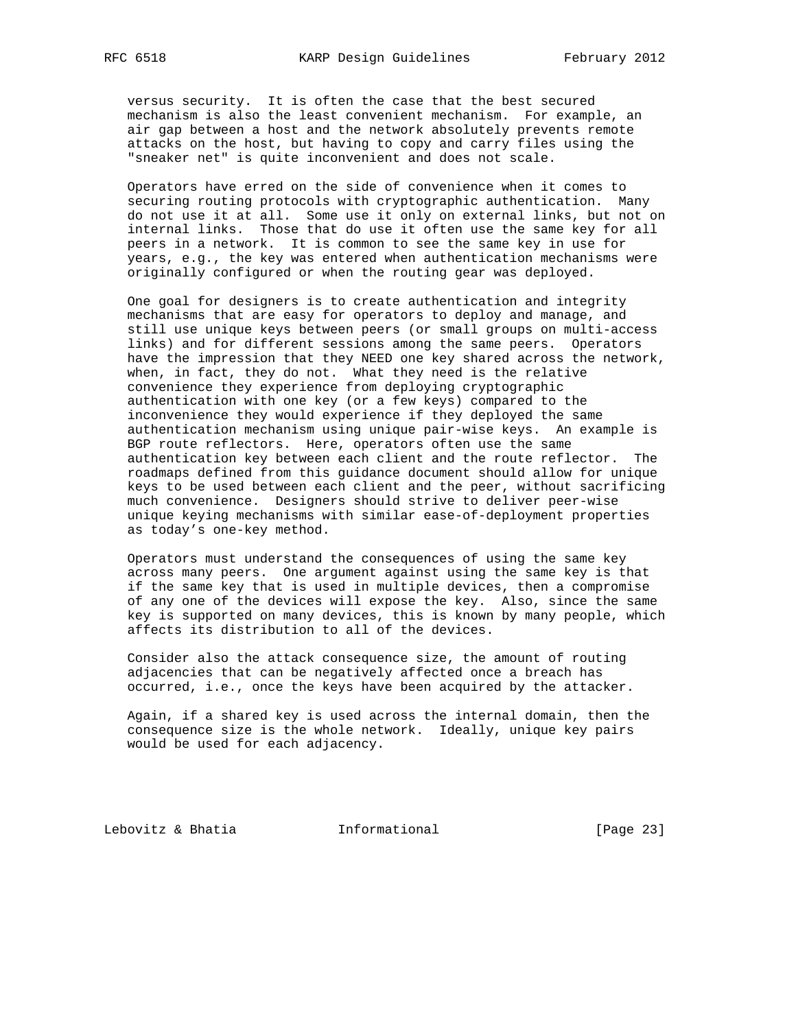versus security. It is often the case that the best secured mechanism is also the least convenient mechanism. For example, an air gap between a host and the network absolutely prevents remote attacks on the host, but having to copy and carry files using the "sneaker net" is quite inconvenient and does not scale.

 Operators have erred on the side of convenience when it comes to securing routing protocols with cryptographic authentication. Many do not use it at all. Some use it only on external links, but not on internal links. Those that do use it often use the same key for all peers in a network. It is common to see the same key in use for years, e.g., the key was entered when authentication mechanisms were originally configured or when the routing gear was deployed.

 One goal for designers is to create authentication and integrity mechanisms that are easy for operators to deploy and manage, and still use unique keys between peers (or small groups on multi-access links) and for different sessions among the same peers. Operators have the impression that they NEED one key shared across the network, when, in fact, they do not. What they need is the relative convenience they experience from deploying cryptographic authentication with one key (or a few keys) compared to the inconvenience they would experience if they deployed the same authentication mechanism using unique pair-wise keys. An example is BGP route reflectors. Here, operators often use the same authentication key between each client and the route reflector. The roadmaps defined from this guidance document should allow for unique keys to be used between each client and the peer, without sacrificing much convenience. Designers should strive to deliver peer-wise unique keying mechanisms with similar ease-of-deployment properties as today's one-key method.

 Operators must understand the consequences of using the same key across many peers. One argument against using the same key is that if the same key that is used in multiple devices, then a compromise of any one of the devices will expose the key. Also, since the same key is supported on many devices, this is known by many people, which affects its distribution to all of the devices.

 Consider also the attack consequence size, the amount of routing adjacencies that can be negatively affected once a breach has occurred, i.e., once the keys have been acquired by the attacker.

 Again, if a shared key is used across the internal domain, then the consequence size is the whole network. Ideally, unique key pairs would be used for each adjacency.

Lebovitz & Bhatia  $I_n$  Informational [Page 23]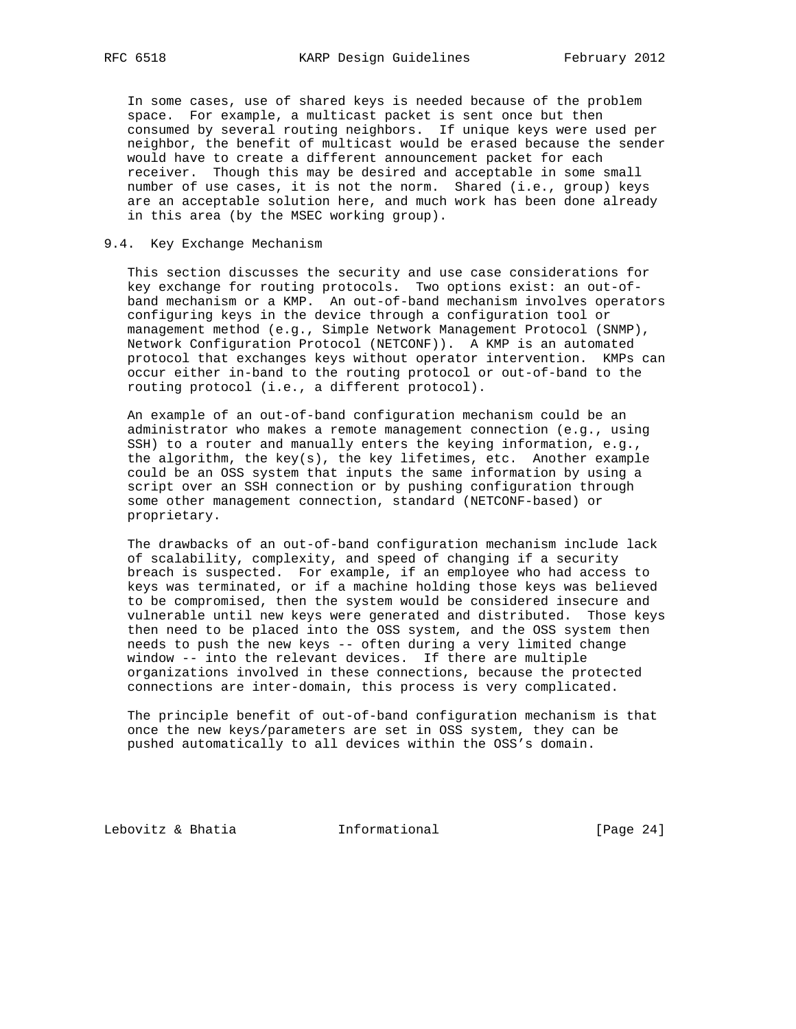In some cases, use of shared keys is needed because of the problem space. For example, a multicast packet is sent once but then consumed by several routing neighbors. If unique keys were used per neighbor, the benefit of multicast would be erased because the sender would have to create a different announcement packet for each receiver. Though this may be desired and acceptable in some small number of use cases, it is not the norm. Shared (i.e., group) keys are an acceptable solution here, and much work has been done already in this area (by the MSEC working group).

## 9.4. Key Exchange Mechanism

 This section discusses the security and use case considerations for key exchange for routing protocols. Two options exist: an out-of band mechanism or a KMP. An out-of-band mechanism involves operators configuring keys in the device through a configuration tool or management method (e.g., Simple Network Management Protocol (SNMP), Network Configuration Protocol (NETCONF)). A KMP is an automated protocol that exchanges keys without operator intervention. KMPs can occur either in-band to the routing protocol or out-of-band to the routing protocol (i.e., a different protocol).

 An example of an out-of-band configuration mechanism could be an administrator who makes a remote management connection (e.g., using SSH) to a router and manually enters the keying information, e.g., the algorithm, the key(s), the key lifetimes, etc. Another example could be an OSS system that inputs the same information by using a script over an SSH connection or by pushing configuration through some other management connection, standard (NETCONF-based) or proprietary.

 The drawbacks of an out-of-band configuration mechanism include lack of scalability, complexity, and speed of changing if a security breach is suspected. For example, if an employee who had access to keys was terminated, or if a machine holding those keys was believed to be compromised, then the system would be considered insecure and vulnerable until new keys were generated and distributed. Those keys then need to be placed into the OSS system, and the OSS system then needs to push the new keys -- often during a very limited change window -- into the relevant devices. If there are multiple organizations involved in these connections, because the protected connections are inter-domain, this process is very complicated.

 The principle benefit of out-of-band configuration mechanism is that once the new keys/parameters are set in OSS system, they can be pushed automatically to all devices within the OSS's domain.

Lebovitz & Bhatia  $I_n$  Informational [Page 24]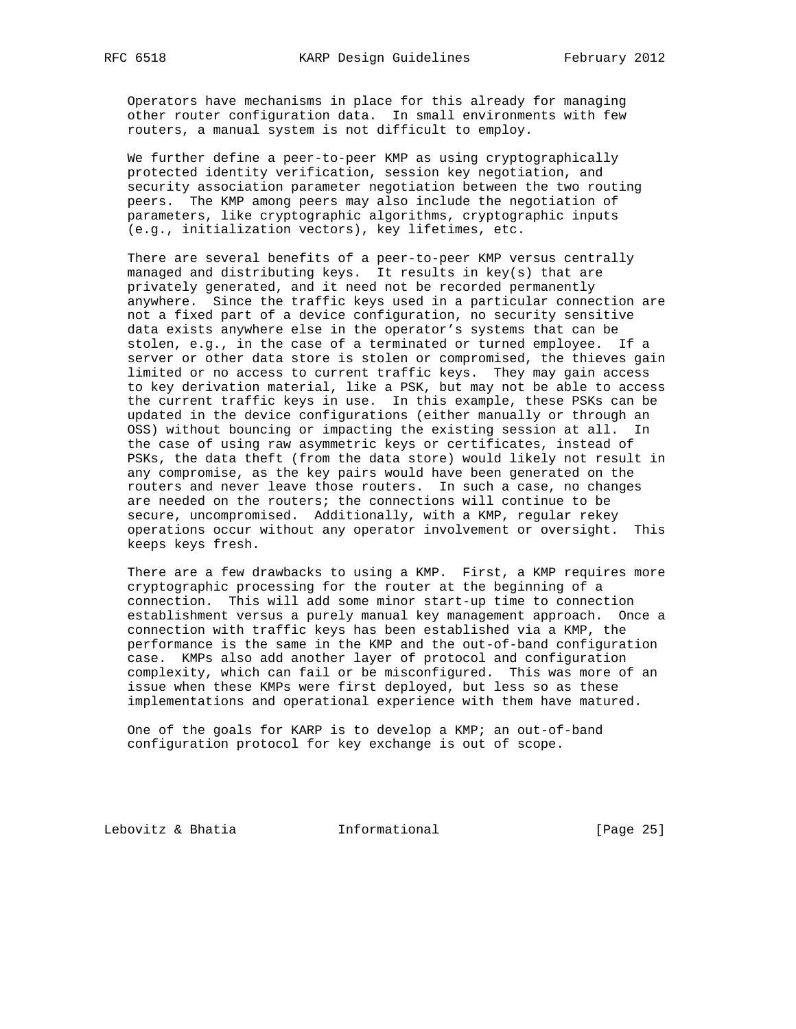Operators have mechanisms in place for this already for managing other router configuration data. In small environments with few routers, a manual system is not difficult to employ.

 We further define a peer-to-peer KMP as using cryptographically protected identity verification, session key negotiation, and security association parameter negotiation between the two routing peers. The KMP among peers may also include the negotiation of parameters, like cryptographic algorithms, cryptographic inputs (e.g., initialization vectors), key lifetimes, etc.

 There are several benefits of a peer-to-peer KMP versus centrally managed and distributing keys. It results in key(s) that are privately generated, and it need not be recorded permanently anywhere. Since the traffic keys used in a particular connection are not a fixed part of a device configuration, no security sensitive data exists anywhere else in the operator's systems that can be stolen, e.g., in the case of a terminated or turned employee. If a server or other data store is stolen or compromised, the thieves gain limited or no access to current traffic keys. They may gain access to key derivation material, like a PSK, but may not be able to access the current traffic keys in use. In this example, these PSKs can be updated in the device configurations (either manually or through an OSS) without bouncing or impacting the existing session at all. In the case of using raw asymmetric keys or certificates, instead of PSKs, the data theft (from the data store) would likely not result in any compromise, as the key pairs would have been generated on the routers and never leave those routers. In such a case, no changes are needed on the routers; the connections will continue to be secure, uncompromised. Additionally, with a KMP, regular rekey operations occur without any operator involvement or oversight. This keeps keys fresh.

 There are a few drawbacks to using a KMP. First, a KMP requires more cryptographic processing for the router at the beginning of a connection. This will add some minor start-up time to connection establishment versus a purely manual key management approach. Once a connection with traffic keys has been established via a KMP, the performance is the same in the KMP and the out-of-band configuration case. KMPs also add another layer of protocol and configuration complexity, which can fail or be misconfigured. This was more of an issue when these KMPs were first deployed, but less so as these implementations and operational experience with them have matured.

 One of the goals for KARP is to develop a KMP; an out-of-band configuration protocol for key exchange is out of scope.

Lebovitz & Bhatia  $I_n$  Informational [Page 25]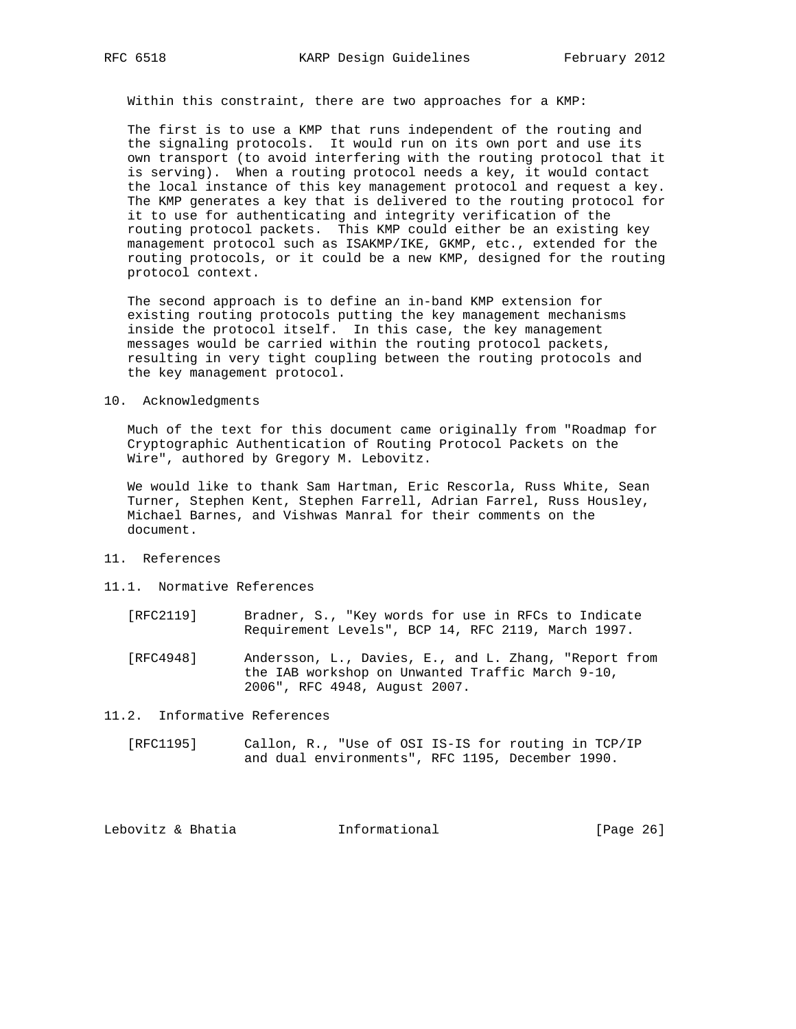Within this constraint, there are two approaches for a KMP:

 The first is to use a KMP that runs independent of the routing and the signaling protocols. It would run on its own port and use its own transport (to avoid interfering with the routing protocol that it is serving). When a routing protocol needs a key, it would contact the local instance of this key management protocol and request a key. The KMP generates a key that is delivered to the routing protocol for it to use for authenticating and integrity verification of the routing protocol packets. This KMP could either be an existing key management protocol such as ISAKMP/IKE, GKMP, etc., extended for the routing protocols, or it could be a new KMP, designed for the routing protocol context.

 The second approach is to define an in-band KMP extension for existing routing protocols putting the key management mechanisms inside the protocol itself. In this case, the key management messages would be carried within the routing protocol packets, resulting in very tight coupling between the routing protocols and the key management protocol.

#### 10. Acknowledgments

 Much of the text for this document came originally from "Roadmap for Cryptographic Authentication of Routing Protocol Packets on the Wire", authored by Gregory M. Lebovitz.

 We would like to thank Sam Hartman, Eric Rescorla, Russ White, Sean Turner, Stephen Kent, Stephen Farrell, Adrian Farrel, Russ Housley, Michael Barnes, and Vishwas Manral for their comments on the document.

- 11. References
- 11.1. Normative References
	- [RFC2119] Bradner, S., "Key words for use in RFCs to Indicate Requirement Levels", BCP 14, RFC 2119, March 1997.
	- [RFC4948] Andersson, L., Davies, E., and L. Zhang, "Report from the IAB workshop on Unwanted Traffic March 9-10, 2006", RFC 4948, August 2007.

11.2. Informative References

 [RFC1195] Callon, R., "Use of OSI IS-IS for routing in TCP/IP and dual environments", RFC 1195, December 1990.

| Lebovitz & Bhatia<br>Informational | [Page 26] |
|------------------------------------|-----------|
|------------------------------------|-----------|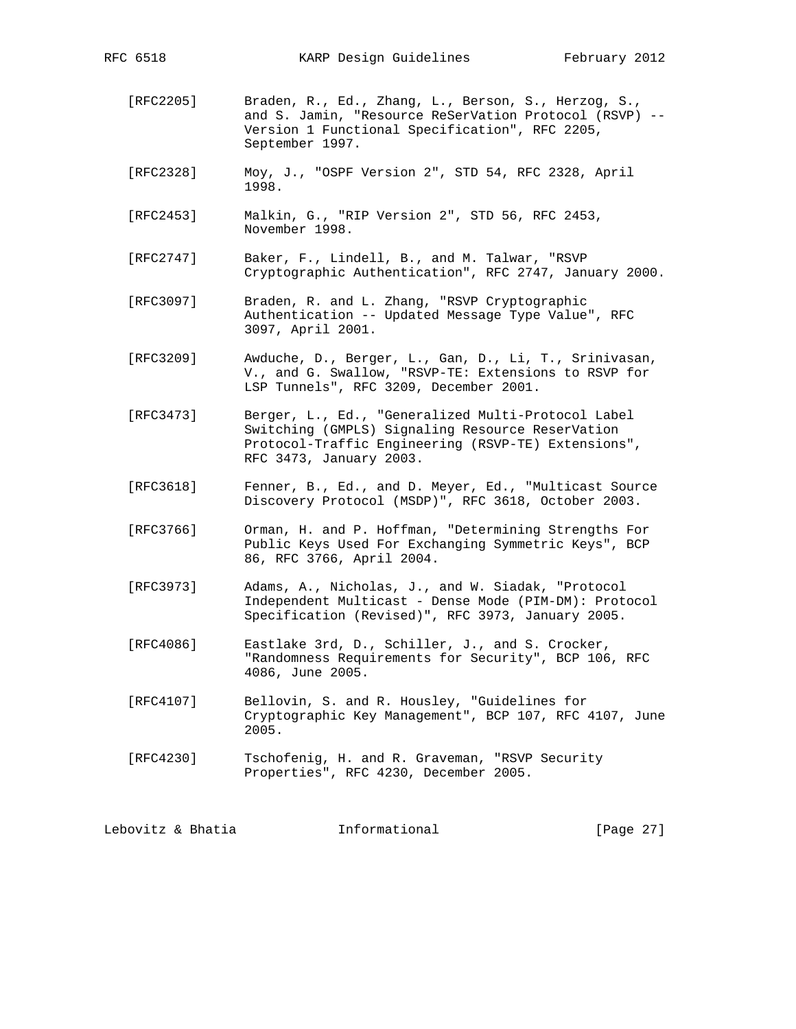- [RFC2205] Braden, R., Ed., Zhang, L., Berson, S., Herzog, S., and S. Jamin, "Resource ReSerVation Protocol (RSVP) -- Version 1 Functional Specification", RFC 2205, September 1997.
- [RFC2328] Moy, J., "OSPF Version 2", STD 54, RFC 2328, April 1998.
- [RFC2453] Malkin, G., "RIP Version 2", STD 56, RFC 2453, November 1998.
- [RFC2747] Baker, F., Lindell, B., and M. Talwar, "RSVP Cryptographic Authentication", RFC 2747, January 2000.
- [RFC3097] Braden, R. and L. Zhang, "RSVP Cryptographic Authentication -- Updated Message Type Value", RFC 3097, April 2001.
- [RFC3209] Awduche, D., Berger, L., Gan, D., Li, T., Srinivasan, V., and G. Swallow, "RSVP-TE: Extensions to RSVP for LSP Tunnels", RFC 3209, December 2001.
- [RFC3473] Berger, L., Ed., "Generalized Multi-Protocol Label Switching (GMPLS) Signaling Resource ReserVation Protocol-Traffic Engineering (RSVP-TE) Extensions", RFC 3473, January 2003.
- [RFC3618] Fenner, B., Ed., and D. Meyer, Ed., "Multicast Source Discovery Protocol (MSDP)", RFC 3618, October 2003.
- [RFC3766] Orman, H. and P. Hoffman, "Determining Strengths For Public Keys Used For Exchanging Symmetric Keys", BCP 86, RFC 3766, April 2004.
- [RFC3973] Adams, A., Nicholas, J., and W. Siadak, "Protocol Independent Multicast - Dense Mode (PIM-DM): Protocol Specification (Revised)", RFC 3973, January 2005.
- [RFC4086] Eastlake 3rd, D., Schiller, J., and S. Crocker, "Randomness Requirements for Security", BCP 106, RFC 4086, June 2005.
- [RFC4107] Bellovin, S. and R. Housley, "Guidelines for Cryptographic Key Management", BCP 107, RFC 4107, June 2005.
- [RFC4230] Tschofenig, H. and R. Graveman, "RSVP Security Properties", RFC 4230, December 2005.

Lebovitz & Bhatia  $\qquad \qquad$  Informational [Page 27]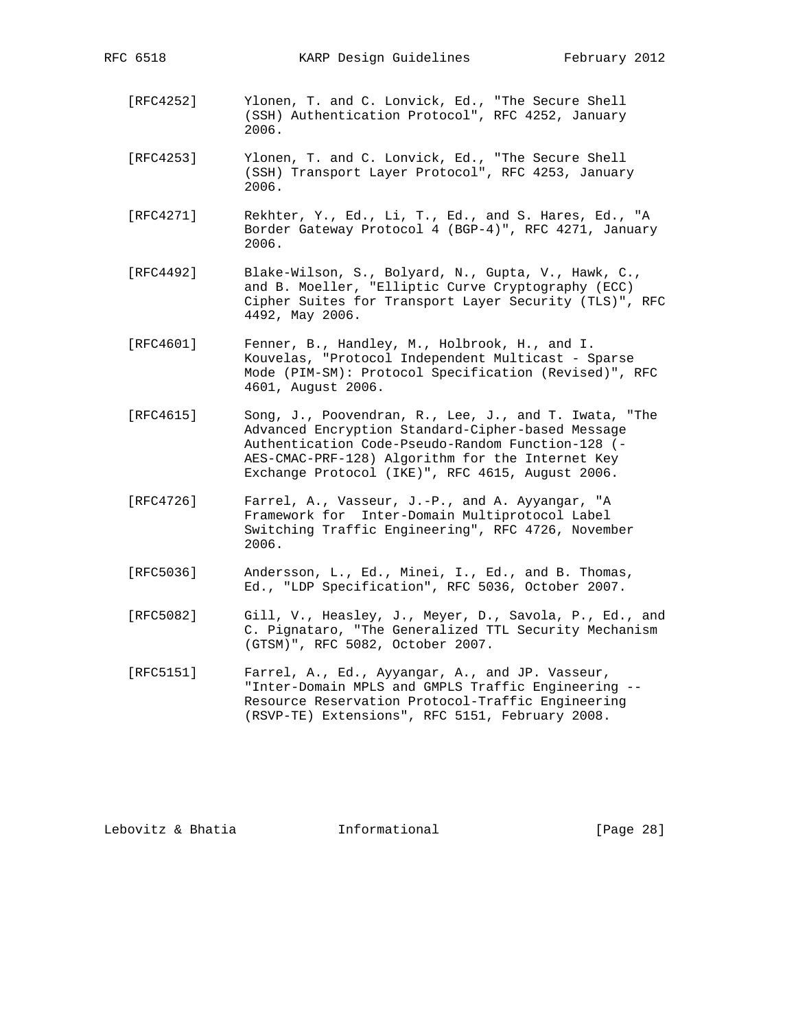RFC 6518 KARP Design Guidelines February 2012

- [RFC4252] Ylonen, T. and C. Lonvick, Ed., "The Secure Shell (SSH) Authentication Protocol", RFC 4252, January 2006.
- [RFC4253] Ylonen, T. and C. Lonvick, Ed., "The Secure Shell (SSH) Transport Layer Protocol", RFC 4253, January 2006.
- [RFC4271] Rekhter, Y., Ed., Li, T., Ed., and S. Hares, Ed., "A Border Gateway Protocol 4 (BGP-4)", RFC 4271, January 2006.
- [RFC4492] Blake-Wilson, S., Bolyard, N., Gupta, V., Hawk, C., and B. Moeller, "Elliptic Curve Cryptography (ECC) Cipher Suites for Transport Layer Security (TLS)", RFC 4492, May 2006.
- [RFC4601] Fenner, B., Handley, M., Holbrook, H., and I. Kouvelas, "Protocol Independent Multicast - Sparse Mode (PIM-SM): Protocol Specification (Revised)", RFC 4601, August 2006.
- [RFC4615] Song, J., Poovendran, R., Lee, J., and T. Iwata, "The Advanced Encryption Standard-Cipher-based Message Authentication Code-Pseudo-Random Function-128 (- AES-CMAC-PRF-128) Algorithm for the Internet Key Exchange Protocol (IKE)", RFC 4615, August 2006.
- [RFC4726] Farrel, A., Vasseur, J.-P., and A. Ayyangar, "A Framework for Inter-Domain Multiprotocol Label Switching Traffic Engineering", RFC 4726, November 2006.
- [RFC5036] Andersson, L., Ed., Minei, I., Ed., and B. Thomas, Ed., "LDP Specification", RFC 5036, October 2007.
- [RFC5082] Gill, V., Heasley, J., Meyer, D., Savola, P., Ed., and C. Pignataro, "The Generalized TTL Security Mechanism (GTSM)", RFC 5082, October 2007.
- [RFC5151] Farrel, A., Ed., Ayyangar, A., and JP. Vasseur, "Inter-Domain MPLS and GMPLS Traffic Engineering -- Resource Reservation Protocol-Traffic Engineering (RSVP-TE) Extensions", RFC 5151, February 2008.

Lebovitz & Bhatia  $I_n$  Informational [Page 28]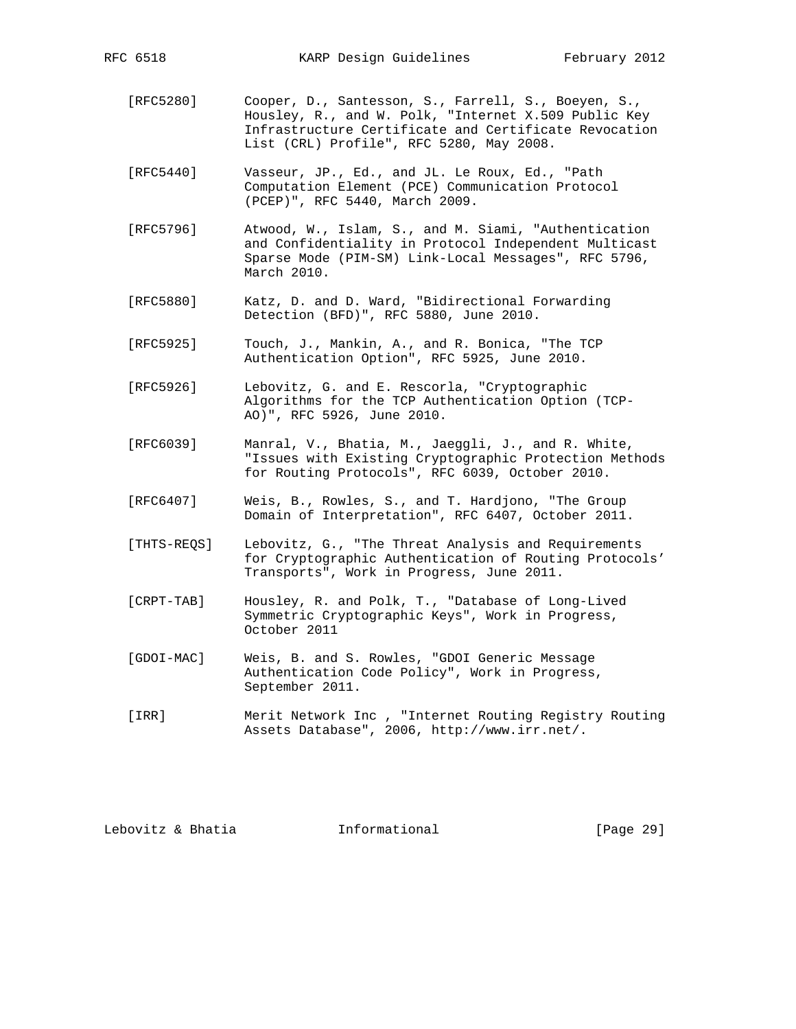- [RFC5280] Cooper, D., Santesson, S., Farrell, S., Boeyen, S., Housley, R., and W. Polk, "Internet X.509 Public Key Infrastructure Certificate and Certificate Revocation List (CRL) Profile", RFC 5280, May 2008.
- [RFC5440] Vasseur, JP., Ed., and JL. Le Roux, Ed., "Path Computation Element (PCE) Communication Protocol (PCEP)", RFC 5440, March 2009.
- [RFC5796] Atwood, W., Islam, S., and M. Siami, "Authentication and Confidentiality in Protocol Independent Multicast Sparse Mode (PIM-SM) Link-Local Messages", RFC 5796, March 2010.
- [RFC5880] Katz, D. and D. Ward, "Bidirectional Forwarding Detection (BFD)", RFC 5880, June 2010.
- [RFC5925] Touch, J., Mankin, A., and R. Bonica, "The TCP Authentication Option", RFC 5925, June 2010.
- [RFC5926] Lebovitz, G. and E. Rescorla, "Cryptographic Algorithms for the TCP Authentication Option (TCP- AO)", RFC 5926, June 2010.
- [RFC6039] Manral, V., Bhatia, M., Jaeggli, J., and R. White, "Issues with Existing Cryptographic Protection Methods for Routing Protocols", RFC 6039, October 2010.
- [RFC6407] Weis, B., Rowles, S., and T. Hardjono, "The Group Domain of Interpretation", RFC 6407, October 2011.
- [THTS-REQS] Lebovitz, G., "The Threat Analysis and Requirements for Cryptographic Authentication of Routing Protocols' Transports", Work in Progress, June 2011.
- [CRPT-TAB] Housley, R. and Polk, T., "Database of Long-Lived Symmetric Cryptographic Keys", Work in Progress, October 2011
- [GDOI-MAC] Weis, B. and S. Rowles, "GDOI Generic Message Authentication Code Policy", Work in Progress, September 2011.
- [IRR] Merit Network Inc , "Internet Routing Registry Routing Assets Database", 2006, http://www.irr.net/.

Lebovitz & Bhatia Informational [Page 29]